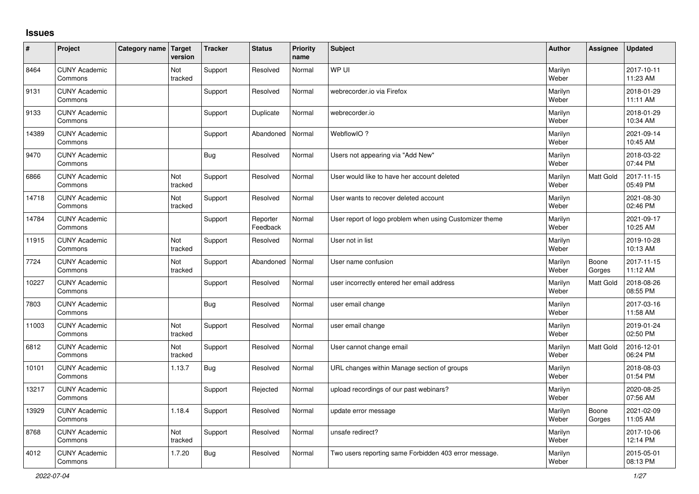## **Issues**

| #     | Project                         | Category name   Target | version        | <b>Tracker</b> | <b>Status</b>        | <b>Priority</b><br>name | <b>Subject</b>                                          | <b>Author</b>    | Assignee         | <b>Updated</b>         |
|-------|---------------------------------|------------------------|----------------|----------------|----------------------|-------------------------|---------------------------------------------------------|------------------|------------------|------------------------|
| 8464  | <b>CUNY Academic</b><br>Commons |                        | Not<br>tracked | Support        | Resolved             | Normal                  | WP UI                                                   | Marilyn<br>Weber |                  | 2017-10-11<br>11:23 AM |
| 9131  | <b>CUNY Academic</b><br>Commons |                        |                | Support        | Resolved             | Normal                  | webrecorder.jo via Firefox                              | Marilyn<br>Weber |                  | 2018-01-29<br>11:11 AM |
| 9133  | <b>CUNY Academic</b><br>Commons |                        |                | Support        | Duplicate            | Normal                  | webrecorder.io                                          | Marilyn<br>Weber |                  | 2018-01-29<br>10:34 AM |
| 14389 | <b>CUNY Academic</b><br>Commons |                        |                | Support        | Abandoned            | Normal                  | WebflowIO?                                              | Marilyn<br>Weber |                  | 2021-09-14<br>10:45 AM |
| 9470  | <b>CUNY Academic</b><br>Commons |                        |                | Bug            | Resolved             | Normal                  | Users not appearing via "Add New"                       | Marilyn<br>Weber |                  | 2018-03-22<br>07:44 PM |
| 6866  | <b>CUNY Academic</b><br>Commons |                        | Not<br>tracked | Support        | Resolved             | Normal                  | User would like to have her account deleted             | Marilyn<br>Weber | Matt Gold        | 2017-11-15<br>05:49 PM |
| 14718 | <b>CUNY Academic</b><br>Commons |                        | Not<br>tracked | Support        | Resolved             | Normal                  | User wants to recover deleted account                   | Marilyn<br>Weber |                  | 2021-08-30<br>02:46 PM |
| 14784 | <b>CUNY Academic</b><br>Commons |                        |                | Support        | Reporter<br>Feedback | Normal                  | User report of logo problem when using Customizer theme | Marilyn<br>Weber |                  | 2021-09-17<br>10:25 AM |
| 11915 | <b>CUNY Academic</b><br>Commons |                        | Not<br>tracked | Support        | Resolved             | Normal                  | User not in list                                        | Marilyn<br>Weber |                  | 2019-10-28<br>10:13 AM |
| 7724  | <b>CUNY Academic</b><br>Commons |                        | Not<br>tracked | Support        | Abandoned            | Normal                  | User name confusion                                     | Marilyn<br>Weber | Boone<br>Gorges  | 2017-11-15<br>11:12 AM |
| 10227 | <b>CUNY Academic</b><br>Commons |                        |                | Support        | Resolved             | Normal                  | user incorrectly entered her email address              | Marilyn<br>Weber | Matt Gold        | 2018-08-26<br>08:55 PM |
| 7803  | <b>CUNY Academic</b><br>Commons |                        |                | <b>Bug</b>     | Resolved             | Normal                  | user email change                                       | Marilyn<br>Weber |                  | 2017-03-16<br>11:58 AM |
| 11003 | <b>CUNY Academic</b><br>Commons |                        | Not<br>tracked | Support        | Resolved             | Normal                  | user email change                                       | Marilyn<br>Weber |                  | 2019-01-24<br>02:50 PM |
| 6812  | <b>CUNY Academic</b><br>Commons |                        | Not<br>tracked | Support        | Resolved             | Normal                  | User cannot change email                                | Marilyn<br>Weber | <b>Matt Gold</b> | 2016-12-01<br>06:24 PM |
| 10101 | <b>CUNY Academic</b><br>Commons |                        | 1.13.7         | Bug            | Resolved             | Normal                  | URL changes within Manage section of groups             | Marilyn<br>Weber |                  | 2018-08-03<br>01:54 PM |
| 13217 | <b>CUNY Academic</b><br>Commons |                        |                | Support        | Rejected             | Normal                  | upload recordings of our past webinars?                 | Marilyn<br>Weber |                  | 2020-08-25<br>07:56 AM |
| 13929 | <b>CUNY Academic</b><br>Commons |                        | 1.18.4         | Support        | Resolved             | Normal                  | update error message                                    | Marilyn<br>Weber | Boone<br>Gorges  | 2021-02-09<br>11:05 AM |
| 8768  | <b>CUNY Academic</b><br>Commons |                        | Not<br>tracked | Support        | Resolved             | Normal                  | unsafe redirect?                                        | Marilyn<br>Weber |                  | 2017-10-06<br>12:14 PM |
| 4012  | <b>CUNY Academic</b><br>Commons |                        | 1.7.20         | <b>Bug</b>     | Resolved             | Normal                  | Two users reporting same Forbidden 403 error message.   | Marilyn<br>Weber |                  | 2015-05-01<br>08:13 PM |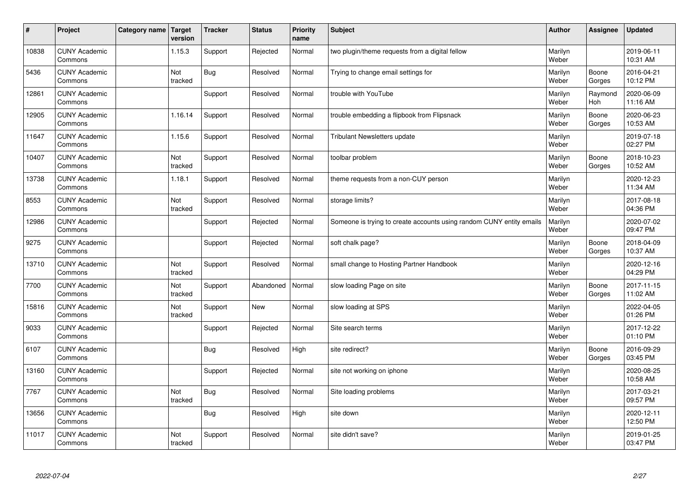| $\sharp$ | Project                         | Category name   Target | version        | <b>Tracker</b> | <b>Status</b> | <b>Priority</b><br>name | <b>Subject</b>                                                       | <b>Author</b>    | <b>Assignee</b> | <b>Updated</b>         |
|----------|---------------------------------|------------------------|----------------|----------------|---------------|-------------------------|----------------------------------------------------------------------|------------------|-----------------|------------------------|
| 10838    | <b>CUNY Academic</b><br>Commons |                        | 1.15.3         | Support        | Rejected      | Normal                  | two plugin/theme requests from a digital fellow                      | Marilyn<br>Weber |                 | 2019-06-11<br>10:31 AM |
| 5436     | <b>CUNY Academic</b><br>Commons |                        | Not<br>tracked | Bug            | Resolved      | Normal                  | Trying to change email settings for                                  | Marilyn<br>Weber | Boone<br>Gorges | 2016-04-21<br>10:12 PM |
| 12861    | <b>CUNY Academic</b><br>Commons |                        |                | Support        | Resolved      | Normal                  | trouble with YouTube                                                 | Marilyn<br>Weber | Raymond<br>Hoh  | 2020-06-09<br>11:16 AM |
| 12905    | <b>CUNY Academic</b><br>Commons |                        | 1.16.14        | Support        | Resolved      | Normal                  | trouble embedding a flipbook from Flipsnack                          | Marilyn<br>Weber | Boone<br>Gorges | 2020-06-23<br>10:53 AM |
| 11647    | <b>CUNY Academic</b><br>Commons |                        | 1.15.6         | Support        | Resolved      | Normal                  | <b>Tribulant Newsletters update</b>                                  | Marilyn<br>Weber |                 | 2019-07-18<br>02:27 PM |
| 10407    | <b>CUNY Academic</b><br>Commons |                        | Not<br>tracked | Support        | Resolved      | Normal                  | toolbar problem                                                      | Marilyn<br>Weber | Boone<br>Gorges | 2018-10-23<br>10:52 AM |
| 13738    | <b>CUNY Academic</b><br>Commons |                        | 1.18.1         | Support        | Resolved      | Normal                  | theme requests from a non-CUY person                                 | Marilyn<br>Weber |                 | 2020-12-23<br>11:34 AM |
| 8553     | <b>CUNY Academic</b><br>Commons |                        | Not<br>tracked | Support        | Resolved      | Normal                  | storage limits?                                                      | Marilyn<br>Weber |                 | 2017-08-18<br>04:36 PM |
| 12986    | <b>CUNY Academic</b><br>Commons |                        |                | Support        | Rejected      | Normal                  | Someone is trying to create accounts using random CUNY entity emails | Marilyn<br>Weber |                 | 2020-07-02<br>09:47 PM |
| 9275     | <b>CUNY Academic</b><br>Commons |                        |                | Support        | Rejected      | Normal                  | soft chalk page?                                                     | Marilyn<br>Weber | Boone<br>Gorges | 2018-04-09<br>10:37 AM |
| 13710    | <b>CUNY Academic</b><br>Commons |                        | Not<br>tracked | Support        | Resolved      | Normal                  | small change to Hosting Partner Handbook                             | Marilyn<br>Weber |                 | 2020-12-16<br>04:29 PM |
| 7700     | <b>CUNY Academic</b><br>Commons |                        | Not<br>tracked | Support        | Abandoned     | Normal                  | slow loading Page on site                                            | Marilyn<br>Weber | Boone<br>Gorges | 2017-11-15<br>11:02 AM |
| 15816    | <b>CUNY Academic</b><br>Commons |                        | Not<br>tracked | Support        | <b>New</b>    | Normal                  | slow loading at SPS                                                  | Marilyn<br>Weber |                 | 2022-04-05<br>01:26 PM |
| 9033     | <b>CUNY Academic</b><br>Commons |                        |                | Support        | Rejected      | Normal                  | Site search terms                                                    | Marilyn<br>Weber |                 | 2017-12-22<br>01:10 PM |
| 6107     | <b>CUNY Academic</b><br>Commons |                        |                | Bug            | Resolved      | High                    | site redirect?                                                       | Marilyn<br>Weber | Boone<br>Gorges | 2016-09-29<br>03:45 PM |
| 13160    | <b>CUNY Academic</b><br>Commons |                        |                | Support        | Rejected      | Normal                  | site not working on iphone                                           | Marilyn<br>Weber |                 | 2020-08-25<br>10:58 AM |
| 7767     | <b>CUNY Academic</b><br>Commons |                        | Not<br>tracked | Bug            | Resolved      | Normal                  | Site loading problems                                                | Marilyn<br>Weber |                 | 2017-03-21<br>09:57 PM |
| 13656    | <b>CUNY Academic</b><br>Commons |                        |                | <b>Bug</b>     | Resolved      | High                    | site down                                                            | Marilyn<br>Weber |                 | 2020-12-11<br>12:50 PM |
| 11017    | <b>CUNY Academic</b><br>Commons |                        | Not<br>tracked | Support        | Resolved      | Normal                  | site didn't save?                                                    | Marilyn<br>Weber |                 | 2019-01-25<br>03:47 PM |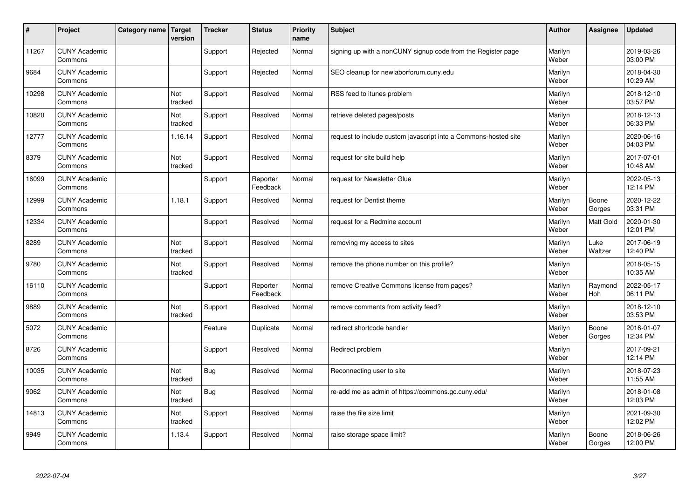| $\vert$ # | Project                         | Category name   Target | version        | <b>Tracker</b> | <b>Status</b>        | <b>Priority</b><br>name | <b>Subject</b>                                                  | <b>Author</b>    | Assignee        | <b>Updated</b>         |
|-----------|---------------------------------|------------------------|----------------|----------------|----------------------|-------------------------|-----------------------------------------------------------------|------------------|-----------------|------------------------|
| 11267     | <b>CUNY Academic</b><br>Commons |                        |                | Support        | Rejected             | Normal                  | signing up with a nonCUNY signup code from the Register page    | Marilyn<br>Weber |                 | 2019-03-26<br>03:00 PM |
| 9684      | <b>CUNY Academic</b><br>Commons |                        |                | Support        | Rejected             | Normal                  | SEO cleanup for newlaborforum.cuny.edu                          | Marilyn<br>Weber |                 | 2018-04-30<br>10:29 AM |
| 10298     | <b>CUNY Academic</b><br>Commons |                        | Not<br>tracked | Support        | Resolved             | Normal                  | RSS feed to itunes problem                                      | Marilyn<br>Weber |                 | 2018-12-10<br>03:57 PM |
| 10820     | <b>CUNY Academic</b><br>Commons |                        | Not<br>tracked | Support        | Resolved             | Normal                  | retrieve deleted pages/posts                                    | Marilyn<br>Weber |                 | 2018-12-13<br>06:33 PM |
| 12777     | <b>CUNY Academic</b><br>Commons |                        | 1.16.14        | Support        | Resolved             | Normal                  | request to include custom javascript into a Commons-hosted site | Marilyn<br>Weber |                 | 2020-06-16<br>04:03 PM |
| 8379      | <b>CUNY Academic</b><br>Commons |                        | Not<br>tracked | Support        | Resolved             | Normal                  | request for site build help                                     | Marilyn<br>Weber |                 | 2017-07-01<br>10:48 AM |
| 16099     | <b>CUNY Academic</b><br>Commons |                        |                | Support        | Reporter<br>Feedback | Normal                  | request for Newsletter Glue                                     | Marilyn<br>Weber |                 | 2022-05-13<br>12:14 PM |
| 12999     | <b>CUNY Academic</b><br>Commons |                        | 1.18.1         | Support        | Resolved             | Normal                  | request for Dentist theme                                       | Marilyn<br>Weber | Boone<br>Gorges | 2020-12-22<br>03:31 PM |
| 12334     | <b>CUNY Academic</b><br>Commons |                        |                | Support        | Resolved             | Normal                  | request for a Redmine account                                   | Marilyn<br>Weber | Matt Gold       | 2020-01-30<br>12:01 PM |
| 8289      | <b>CUNY Academic</b><br>Commons |                        | Not<br>tracked | Support        | Resolved             | Normal                  | removing my access to sites                                     | Marilyn<br>Weber | Luke<br>Waltzer | 2017-06-19<br>12:40 PM |
| 9780      | <b>CUNY Academic</b><br>Commons |                        | Not<br>tracked | Support        | Resolved             | Normal                  | remove the phone number on this profile?                        | Marilyn<br>Weber |                 | 2018-05-15<br>10:35 AM |
| 16110     | <b>CUNY Academic</b><br>Commons |                        |                | Support        | Reporter<br>Feedback | Normal                  | remove Creative Commons license from pages?                     | Marilyn<br>Weber | Raymond<br>Hoh  | 2022-05-17<br>06:11 PM |
| 9889      | <b>CUNY Academic</b><br>Commons |                        | Not<br>tracked | Support        | Resolved             | Normal                  | remove comments from activity feed?                             | Marilyn<br>Weber |                 | 2018-12-10<br>03:53 PM |
| 5072      | <b>CUNY Academic</b><br>Commons |                        |                | Feature        | Duplicate            | Normal                  | redirect shortcode handler                                      | Marilyn<br>Weber | Boone<br>Gorges | 2016-01-07<br>12:34 PM |
| 8726      | <b>CUNY Academic</b><br>Commons |                        |                | Support        | Resolved             | Normal                  | Redirect problem                                                | Marilyn<br>Weber |                 | 2017-09-21<br>12:14 PM |
| 10035     | <b>CUNY Academic</b><br>Commons |                        | Not<br>tracked | <b>Bug</b>     | Resolved             | Normal                  | Reconnecting user to site                                       | Marilyn<br>Weber |                 | 2018-07-23<br>11:55 AM |
| 9062      | <b>CUNY Academic</b><br>Commons |                        | Not<br>tracked | <b>Bug</b>     | Resolved             | Normal                  | re-add me as admin of https://commons.gc.cuny.edu/              | Marilyn<br>Weber |                 | 2018-01-08<br>12:03 PM |
| 14813     | <b>CUNY Academic</b><br>Commons |                        | Not<br>tracked | Support        | Resolved             | Normal                  | raise the file size limit                                       | Marilyn<br>Weber |                 | 2021-09-30<br>12:02 PM |
| 9949      | <b>CUNY Academic</b><br>Commons |                        | 1.13.4         | Support        | Resolved             | Normal                  | raise storage space limit?                                      | Marilyn<br>Weber | Boone<br>Gorges | 2018-06-26<br>12:00 PM |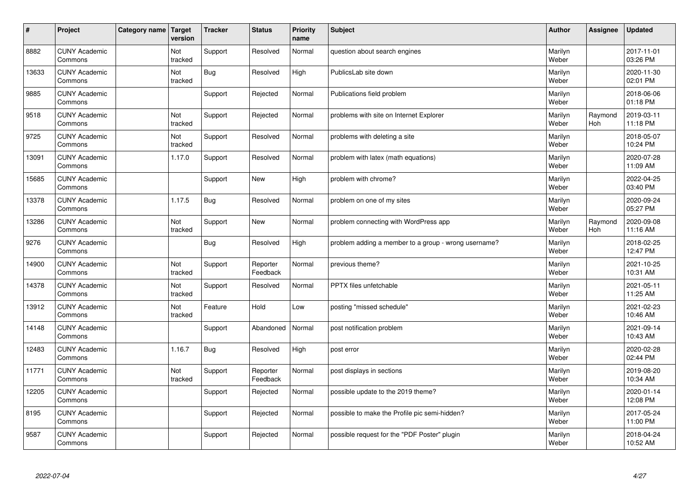| $\vert$ # | Project                         | Category name   Target | version        | <b>Tracker</b> | <b>Status</b>        | <b>Priority</b><br>name | <b>Subject</b>                                       | <b>Author</b>    | <b>Assignee</b> | <b>Updated</b>         |
|-----------|---------------------------------|------------------------|----------------|----------------|----------------------|-------------------------|------------------------------------------------------|------------------|-----------------|------------------------|
| 8882      | <b>CUNY Academic</b><br>Commons |                        | Not<br>tracked | Support        | Resolved             | Normal                  | question about search engines                        | Marilyn<br>Weber |                 | 2017-11-01<br>03:26 PM |
| 13633     | <b>CUNY Academic</b><br>Commons |                        | Not<br>tracked | <b>Bug</b>     | Resolved             | High                    | PublicsLab site down                                 | Marilyn<br>Weber |                 | 2020-11-30<br>02:01 PM |
| 9885      | <b>CUNY Academic</b><br>Commons |                        |                | Support        | Rejected             | Normal                  | Publications field problem                           | Marilyn<br>Weber |                 | 2018-06-06<br>01:18 PM |
| 9518      | <b>CUNY Academic</b><br>Commons |                        | Not<br>tracked | Support        | Rejected             | Normal                  | problems with site on Internet Explorer              | Marilyn<br>Weber | Raymond<br>Hoh  | 2019-03-11<br>11:18 PM |
| 9725      | <b>CUNY Academic</b><br>Commons |                        | Not<br>tracked | Support        | Resolved             | Normal                  | problems with deleting a site                        | Marilyn<br>Weber |                 | 2018-05-07<br>10:24 PM |
| 13091     | <b>CUNY Academic</b><br>Commons |                        | 1.17.0         | Support        | Resolved             | Normal                  | problem with latex (math equations)                  | Marilyn<br>Weber |                 | 2020-07-28<br>11:09 AM |
| 15685     | <b>CUNY Academic</b><br>Commons |                        |                | Support        | <b>New</b>           | High                    | problem with chrome?                                 | Marilyn<br>Weber |                 | 2022-04-25<br>03:40 PM |
| 13378     | <b>CUNY Academic</b><br>Commons |                        | 1.17.5         | <b>Bug</b>     | Resolved             | Normal                  | problem on one of my sites                           | Marilyn<br>Weber |                 | 2020-09-24<br>05:27 PM |
| 13286     | <b>CUNY Academic</b><br>Commons |                        | Not<br>tracked | Support        | New                  | Normal                  | problem connecting with WordPress app                | Marilyn<br>Weber | Raymond<br>Hoh  | 2020-09-08<br>11:16 AM |
| 9276      | <b>CUNY Academic</b><br>Commons |                        |                | <b>Bug</b>     | Resolved             | High                    | problem adding a member to a group - wrong username? | Marilyn<br>Weber |                 | 2018-02-25<br>12:47 PM |
| 14900     | <b>CUNY Academic</b><br>Commons |                        | Not<br>tracked | Support        | Reporter<br>Feedback | Normal                  | previous theme?                                      | Marilyn<br>Weber |                 | 2021-10-25<br>10:31 AM |
| 14378     | <b>CUNY Academic</b><br>Commons |                        | Not<br>tracked | Support        | Resolved             | Normal                  | PPTX files unfetchable                               | Marilyn<br>Weber |                 | 2021-05-11<br>11:25 AM |
| 13912     | <b>CUNY Academic</b><br>Commons |                        | Not<br>tracked | Feature        | Hold                 | Low                     | posting "missed schedule"                            | Marilyn<br>Weber |                 | 2021-02-23<br>10:46 AM |
| 14148     | <b>CUNY Academic</b><br>Commons |                        |                | Support        | Abandoned            | Normal                  | post notification problem                            | Marilyn<br>Weber |                 | 2021-09-14<br>10:43 AM |
| 12483     | <b>CUNY Academic</b><br>Commons |                        | 1.16.7         | <b>Bug</b>     | Resolved             | High                    | post error                                           | Marilyn<br>Weber |                 | 2020-02-28<br>02:44 PM |
| 11771     | <b>CUNY Academic</b><br>Commons |                        | Not<br>tracked | Support        | Reporter<br>Feedback | Normal                  | post displays in sections                            | Marilyn<br>Weber |                 | 2019-08-20<br>10:34 AM |
| 12205     | <b>CUNY Academic</b><br>Commons |                        |                | Support        | Rejected             | Normal                  | possible update to the 2019 theme?                   | Marilyn<br>Weber |                 | 2020-01-14<br>12:08 PM |
| 8195      | <b>CUNY Academic</b><br>Commons |                        |                | Support        | Rejected             | Normal                  | possible to make the Profile pic semi-hidden?        | Marilyn<br>Weber |                 | 2017-05-24<br>11:00 PM |
| 9587      | <b>CUNY Academic</b><br>Commons |                        |                | Support        | Rejected             | Normal                  | possible request for the "PDF Poster" plugin         | Marilyn<br>Weber |                 | 2018-04-24<br>10:52 AM |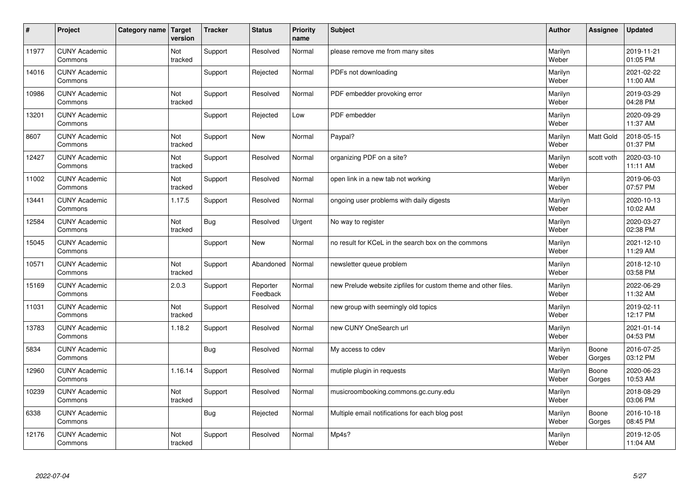| $\sharp$ | Project                         | Category name | Target<br>version | <b>Tracker</b> | <b>Status</b>        | <b>Priority</b><br>name | <b>Subject</b>                                                 | <b>Author</b>    | Assignee        | <b>Updated</b>         |
|----------|---------------------------------|---------------|-------------------|----------------|----------------------|-------------------------|----------------------------------------------------------------|------------------|-----------------|------------------------|
| 11977    | <b>CUNY Academic</b><br>Commons |               | Not<br>tracked    | Support        | Resolved             | Normal                  | please remove me from many sites                               | Marilyn<br>Weber |                 | 2019-11-21<br>01:05 PM |
| 14016    | <b>CUNY Academic</b><br>Commons |               |                   | Support        | Rejected             | Normal                  | PDFs not downloading                                           | Marilyn<br>Weber |                 | 2021-02-22<br>11:00 AM |
| 10986    | <b>CUNY Academic</b><br>Commons |               | Not<br>tracked    | Support        | Resolved             | Normal                  | PDF embedder provoking error                                   | Marilyn<br>Weber |                 | 2019-03-29<br>04:28 PM |
| 13201    | <b>CUNY Academic</b><br>Commons |               |                   | Support        | Rejected             | Low                     | PDF embedder                                                   | Marilyn<br>Weber |                 | 2020-09-29<br>11:37 AM |
| 8607     | <b>CUNY Academic</b><br>Commons |               | Not<br>tracked    | Support        | <b>New</b>           | Normal                  | Paypal?                                                        | Marilyn<br>Weber | Matt Gold       | 2018-05-15<br>01:37 PM |
| 12427    | <b>CUNY Academic</b><br>Commons |               | Not<br>tracked    | Support        | Resolved             | Normal                  | organizing PDF on a site?                                      | Marilyn<br>Weber | scott voth      | 2020-03-10<br>11:11 AM |
| 11002    | <b>CUNY Academic</b><br>Commons |               | Not<br>tracked    | Support        | Resolved             | Normal                  | open link in a new tab not working                             | Marilyn<br>Weber |                 | 2019-06-03<br>07:57 PM |
| 13441    | <b>CUNY Academic</b><br>Commons |               | 1.17.5            | Support        | Resolved             | Normal                  | ongoing user problems with daily digests                       | Marilyn<br>Weber |                 | 2020-10-13<br>10:02 AM |
| 12584    | <b>CUNY Academic</b><br>Commons |               | Not<br>tracked    | Bug            | Resolved             | Urgent                  | No way to register                                             | Marilyn<br>Weber |                 | 2020-03-27<br>02:38 PM |
| 15045    | <b>CUNY Academic</b><br>Commons |               |                   | Support        | <b>New</b>           | Normal                  | no result for KCeL in the search box on the commons            | Marilyn<br>Weber |                 | 2021-12-10<br>11:29 AM |
| 10571    | <b>CUNY Academic</b><br>Commons |               | Not<br>tracked    | Support        | Abandoned            | Normal                  | newsletter queue problem                                       | Marilyn<br>Weber |                 | 2018-12-10<br>03:58 PM |
| 15169    | <b>CUNY Academic</b><br>Commons |               | 2.0.3             | Support        | Reporter<br>Feedback | Normal                  | new Prelude website zipfiles for custom theme and other files. | Marilyn<br>Weber |                 | 2022-06-29<br>11:32 AM |
| 11031    | <b>CUNY Academic</b><br>Commons |               | Not<br>tracked    | Support        | Resolved             | Normal                  | new group with seemingly old topics                            | Marilyn<br>Weber |                 | 2019-02-11<br>12:17 PM |
| 13783    | <b>CUNY Academic</b><br>Commons |               | 1.18.2            | Support        | Resolved             | Normal                  | new CUNY OneSearch url                                         | Marilyn<br>Weber |                 | 2021-01-14<br>04:53 PM |
| 5834     | <b>CUNY Academic</b><br>Commons |               |                   | Bug            | Resolved             | Normal                  | My access to cdev                                              | Marilyn<br>Weber | Boone<br>Gorges | 2016-07-25<br>03:12 PM |
| 12960    | <b>CUNY Academic</b><br>Commons |               | 1.16.14           | Support        | Resolved             | Normal                  | mutiple plugin in requests                                     | Marilyn<br>Weber | Boone<br>Gorges | 2020-06-23<br>10:53 AM |
| 10239    | <b>CUNY Academic</b><br>Commons |               | Not<br>tracked    | Support        | Resolved             | Normal                  | musicroombooking.commons.gc.cuny.edu                           | Marilyn<br>Weber |                 | 2018-08-29<br>03:06 PM |
| 6338     | <b>CUNY Academic</b><br>Commons |               |                   | Bug            | Rejected             | Normal                  | Multiple email notifications for each blog post                | Marilyn<br>Weber | Boone<br>Gorges | 2016-10-18<br>08:45 PM |
| 12176    | <b>CUNY Academic</b><br>Commons |               | Not<br>tracked    | Support        | Resolved             | Normal                  | Mp4s?                                                          | Marilyn<br>Weber |                 | 2019-12-05<br>11:04 AM |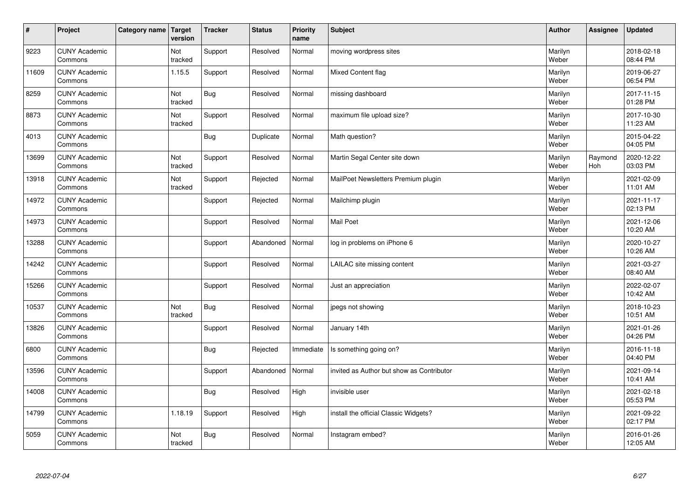| $\vert$ # | Project                         | Category name   Target | version        | <b>Tracker</b> | <b>Status</b> | <b>Priority</b><br>name | Subject                                   | <b>Author</b>    | Assignee       | <b>Updated</b>         |
|-----------|---------------------------------|------------------------|----------------|----------------|---------------|-------------------------|-------------------------------------------|------------------|----------------|------------------------|
| 9223      | <b>CUNY Academic</b><br>Commons |                        | Not<br>tracked | Support        | Resolved      | Normal                  | moving wordpress sites                    | Marilyn<br>Weber |                | 2018-02-18<br>08:44 PM |
| 11609     | <b>CUNY Academic</b><br>Commons |                        | 1.15.5         | Support        | Resolved      | Normal                  | Mixed Content flag                        | Marilyn<br>Weber |                | 2019-06-27<br>06:54 PM |
| 8259      | <b>CUNY Academic</b><br>Commons |                        | Not<br>tracked | Bug            | Resolved      | Normal                  | missing dashboard                         | Marilyn<br>Weber |                | 2017-11-15<br>01:28 PM |
| 8873      | <b>CUNY Academic</b><br>Commons |                        | Not<br>tracked | Support        | Resolved      | Normal                  | maximum file upload size?                 | Marilyn<br>Weber |                | 2017-10-30<br>11:23 AM |
| 4013      | <b>CUNY Academic</b><br>Commons |                        |                | Bug            | Duplicate     | Normal                  | Math question?                            | Marilyn<br>Weber |                | 2015-04-22<br>04:05 PM |
| 13699     | <b>CUNY Academic</b><br>Commons |                        | Not<br>tracked | Support        | Resolved      | Normal                  | Martin Segal Center site down             | Marilyn<br>Weber | Raymond<br>Hoh | 2020-12-22<br>03:03 PM |
| 13918     | <b>CUNY Academic</b><br>Commons |                        | Not<br>tracked | Support        | Rejected      | Normal                  | MailPoet Newsletters Premium plugin       | Marilyn<br>Weber |                | 2021-02-09<br>11:01 AM |
| 14972     | <b>CUNY Academic</b><br>Commons |                        |                | Support        | Rejected      | Normal                  | Mailchimp plugin                          | Marilyn<br>Weber |                | 2021-11-17<br>02:13 PM |
| 14973     | <b>CUNY Academic</b><br>Commons |                        |                | Support        | Resolved      | Normal                  | <b>Mail Poet</b>                          | Marilyn<br>Weber |                | 2021-12-06<br>10:20 AM |
| 13288     | <b>CUNY Academic</b><br>Commons |                        |                | Support        | Abandoned     | Normal                  | log in problems on iPhone 6               | Marilyn<br>Weber |                | 2020-10-27<br>10:26 AM |
| 14242     | <b>CUNY Academic</b><br>Commons |                        |                | Support        | Resolved      | Normal                  | LAILAC site missing content               | Marilyn<br>Weber |                | 2021-03-27<br>08:40 AM |
| 15266     | <b>CUNY Academic</b><br>Commons |                        |                | Support        | Resolved      | Normal                  | Just an appreciation                      | Marilyn<br>Weber |                | 2022-02-07<br>10:42 AM |
| 10537     | <b>CUNY Academic</b><br>Commons |                        | Not<br>tracked | Bug            | Resolved      | Normal                  | jpegs not showing                         | Marilyn<br>Weber |                | 2018-10-23<br>10:51 AM |
| 13826     | <b>CUNY Academic</b><br>Commons |                        |                | Support        | Resolved      | Normal                  | January 14th                              | Marilyn<br>Weber |                | 2021-01-26<br>04:26 PM |
| 6800      | <b>CUNY Academic</b><br>Commons |                        |                | Bug            | Rejected      | Immediate               | Is something going on?                    | Marilyn<br>Weber |                | 2016-11-18<br>04:40 PM |
| 13596     | <b>CUNY Academic</b><br>Commons |                        |                | Support        | Abandoned     | Normal                  | invited as Author but show as Contributor | Marilyn<br>Weber |                | 2021-09-14<br>10:41 AM |
| 14008     | <b>CUNY Academic</b><br>Commons |                        |                | Bug            | Resolved      | High                    | invisible user                            | Marilyn<br>Weber |                | 2021-02-18<br>05:53 PM |
| 14799     | <b>CUNY Academic</b><br>Commons |                        | 1.18.19        | Support        | Resolved      | High                    | install the official Classic Widgets?     | Marilyn<br>Weber |                | 2021-09-22<br>02:17 PM |
| 5059      | <b>CUNY Academic</b><br>Commons |                        | Not<br>tracked | Bug            | Resolved      | Normal                  | Instagram embed?                          | Marilyn<br>Weber |                | 2016-01-26<br>12:05 AM |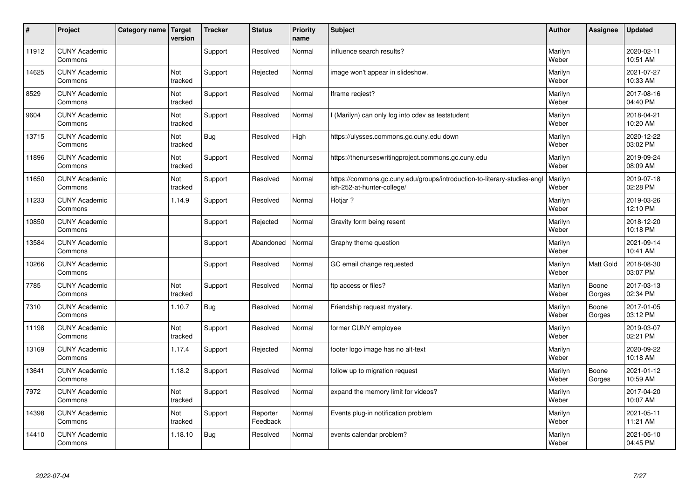| $\vert$ # | Project                         | Category name   Target | version        | <b>Tracker</b> | <b>Status</b>        | <b>Priority</b><br>name | <b>Subject</b>                                                                                         | <b>Author</b>    | Assignee        | <b>Updated</b>         |
|-----------|---------------------------------|------------------------|----------------|----------------|----------------------|-------------------------|--------------------------------------------------------------------------------------------------------|------------------|-----------------|------------------------|
| 11912     | <b>CUNY Academic</b><br>Commons |                        |                | Support        | Resolved             | Normal                  | influence search results?                                                                              | Marilyn<br>Weber |                 | 2020-02-11<br>10:51 AM |
| 14625     | <b>CUNY Academic</b><br>Commons |                        | Not<br>tracked | Support        | Rejected             | Normal                  | image won't appear in slideshow.                                                                       | Marilyn<br>Weber |                 | 2021-07-27<br>10:33 AM |
| 8529      | <b>CUNY Academic</b><br>Commons |                        | Not<br>tracked | Support        | Resolved             | Normal                  | Iframe regiest?                                                                                        | Marilyn<br>Weber |                 | 2017-08-16<br>04:40 PM |
| 9604      | <b>CUNY Academic</b><br>Commons |                        | Not<br>tracked | Support        | Resolved             | Normal                  | l (Marilyn) can only log into cdev as teststudent                                                      | Marilyn<br>Weber |                 | 2018-04-21<br>10:20 AM |
| 13715     | <b>CUNY Academic</b><br>Commons |                        | Not<br>tracked | Bug            | Resolved             | High                    | https://ulysses.commons.gc.cuny.edu down                                                               | Marilyn<br>Weber |                 | 2020-12-22<br>03:02 PM |
| 11896     | <b>CUNY Academic</b><br>Commons |                        | Not<br>tracked | Support        | Resolved             | Normal                  | https://thenurseswritingproject.commons.gc.cuny.edu                                                    | Marilyn<br>Weber |                 | 2019-09-24<br>08:09 AM |
| 11650     | <b>CUNY Academic</b><br>Commons |                        | Not<br>tracked | Support        | Resolved             | Normal                  | https://commons.gc.cuny.edu/groups/introduction-to-literary-studies-engl<br>ish-252-at-hunter-college/ | Marilyn<br>Weber |                 | 2019-07-18<br>02:28 PM |
| 11233     | <b>CUNY Academic</b><br>Commons |                        | 1.14.9         | Support        | Resolved             | Normal                  | Hotjar?                                                                                                | Marilyn<br>Weber |                 | 2019-03-26<br>12:10 PM |
| 10850     | <b>CUNY Academic</b><br>Commons |                        |                | Support        | Rejected             | Normal                  | Gravity form being resent                                                                              | Marilyn<br>Weber |                 | 2018-12-20<br>10:18 PM |
| 13584     | <b>CUNY Academic</b><br>Commons |                        |                | Support        | Abandoned            | Normal                  | Graphy theme question                                                                                  | Marilyn<br>Weber |                 | 2021-09-14<br>10:41 AM |
| 10266     | <b>CUNY Academic</b><br>Commons |                        |                | Support        | Resolved             | Normal                  | GC email change requested                                                                              | Marilyn<br>Weber | Matt Gold       | 2018-08-30<br>03:07 PM |
| 7785      | <b>CUNY Academic</b><br>Commons |                        | Not<br>tracked | Support        | Resolved             | Normal                  | ftp access or files?                                                                                   | Marilyn<br>Weber | Boone<br>Gorges | 2017-03-13<br>02:34 PM |
| 7310      | <b>CUNY Academic</b><br>Commons |                        | 1.10.7         | Bug            | Resolved             | Normal                  | Friendship request mystery.                                                                            | Marilyn<br>Weber | Boone<br>Gorges | 2017-01-05<br>03:12 PM |
| 11198     | <b>CUNY Academic</b><br>Commons |                        | Not<br>tracked | Support        | Resolved             | Normal                  | former CUNY employee                                                                                   | Marilyn<br>Weber |                 | 2019-03-07<br>02:21 PM |
| 13169     | <b>CUNY Academic</b><br>Commons |                        | 1.17.4         | Support        | Rejected             | Normal                  | footer logo image has no alt-text                                                                      | Marilyn<br>Weber |                 | 2020-09-22<br>10:18 AM |
| 13641     | <b>CUNY Academic</b><br>Commons |                        | 1.18.2         | Support        | Resolved             | Normal                  | follow up to migration request                                                                         | Marilyn<br>Weber | Boone<br>Gorges | 2021-01-12<br>10:59 AM |
| 7972      | <b>CUNY Academic</b><br>Commons |                        | Not<br>tracked | Support        | Resolved             | Normal                  | expand the memory limit for videos?                                                                    | Marilyn<br>Weber |                 | 2017-04-20<br>10:07 AM |
| 14398     | <b>CUNY Academic</b><br>Commons |                        | Not<br>tracked | Support        | Reporter<br>Feedback | Normal                  | Events plug-in notification problem                                                                    | Marilyn<br>Weber |                 | 2021-05-11<br>11:21 AM |
| 14410     | <b>CUNY Academic</b><br>Commons |                        | 1.18.10        | Bug            | Resolved             | Normal                  | events calendar problem?                                                                               | Marilyn<br>Weber |                 | 2021-05-10<br>04:45 PM |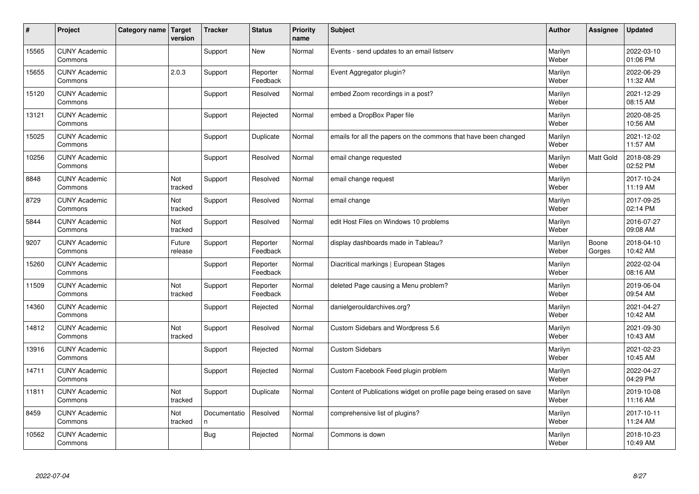| #     | Project                         | Category name   Target | version           | <b>Tracker</b>     | <b>Status</b>        | <b>Priority</b><br>name | <b>Subject</b>                                                      | <b>Author</b>    | Assignee        | <b>Updated</b>         |
|-------|---------------------------------|------------------------|-------------------|--------------------|----------------------|-------------------------|---------------------------------------------------------------------|------------------|-----------------|------------------------|
| 15565 | <b>CUNY Academic</b><br>Commons |                        |                   | Support            | <b>New</b>           | Normal                  | Events - send updates to an email listserv                          | Marilyn<br>Weber |                 | 2022-03-10<br>01:06 PM |
| 15655 | <b>CUNY Academic</b><br>Commons |                        | 2.0.3             | Support            | Reporter<br>Feedback | Normal                  | Event Aggregator plugin?                                            | Marilyn<br>Weber |                 | 2022-06-29<br>11:32 AM |
| 15120 | <b>CUNY Academic</b><br>Commons |                        |                   | Support            | Resolved             | Normal                  | embed Zoom recordings in a post?                                    | Marilyn<br>Weber |                 | 2021-12-29<br>08:15 AM |
| 13121 | <b>CUNY Academic</b><br>Commons |                        |                   | Support            | Rejected             | Normal                  | embed a DropBox Paper file                                          | Marilyn<br>Weber |                 | 2020-08-25<br>10:56 AM |
| 15025 | <b>CUNY Academic</b><br>Commons |                        |                   | Support            | Duplicate            | Normal                  | emails for all the papers on the commons that have been changed     | Marilyn<br>Weber |                 | 2021-12-02<br>11:57 AM |
| 10256 | <b>CUNY Academic</b><br>Commons |                        |                   | Support            | Resolved             | Normal                  | email change requested                                              | Marilyn<br>Weber | Matt Gold       | 2018-08-29<br>02:52 PM |
| 8848  | <b>CUNY Academic</b><br>Commons |                        | Not<br>tracked    | Support            | Resolved             | Normal                  | email change request                                                | Marilyn<br>Weber |                 | 2017-10-24<br>11:19 AM |
| 8729  | <b>CUNY Academic</b><br>Commons |                        | Not<br>tracked    | Support            | Resolved             | Normal                  | email change                                                        | Marilyn<br>Weber |                 | 2017-09-25<br>02:14 PM |
| 5844  | <b>CUNY Academic</b><br>Commons |                        | Not<br>tracked    | Support            | Resolved             | Normal                  | edit Host Files on Windows 10 problems                              | Marilyn<br>Weber |                 | 2016-07-27<br>09:08 AM |
| 9207  | <b>CUNY Academic</b><br>Commons |                        | Future<br>release | Support            | Reporter<br>Feedback | Normal                  | display dashboards made in Tableau?                                 | Marilyn<br>Weber | Boone<br>Gorges | 2018-04-10<br>10:42 AM |
| 15260 | <b>CUNY Academic</b><br>Commons |                        |                   | Support            | Reporter<br>Feedback | Normal                  | Diacritical markings   European Stages                              | Marilyn<br>Weber |                 | 2022-02-04<br>08:16 AM |
| 11509 | <b>CUNY Academic</b><br>Commons |                        | Not<br>tracked    | Support            | Reporter<br>Feedback | Normal                  | deleted Page causing a Menu problem?                                | Marilyn<br>Weber |                 | 2019-06-04<br>09:54 AM |
| 14360 | <b>CUNY Academic</b><br>Commons |                        |                   | Support            | Rejected             | Normal                  | danielgerouldarchives.org?                                          | Marilyn<br>Weber |                 | 2021-04-27<br>10:42 AM |
| 14812 | <b>CUNY Academic</b><br>Commons |                        | Not<br>tracked    | Support            | Resolved             | Normal                  | Custom Sidebars and Wordpress 5.6                                   | Marilyn<br>Weber |                 | 2021-09-30<br>10:43 AM |
| 13916 | <b>CUNY Academic</b><br>Commons |                        |                   | Support            | Rejected             | Normal                  | <b>Custom Sidebars</b>                                              | Marilyn<br>Weber |                 | 2021-02-23<br>10:45 AM |
| 14711 | <b>CUNY Academic</b><br>Commons |                        |                   | Support            | Rejected             | Normal                  | Custom Facebook Feed plugin problem                                 | Marilyn<br>Weber |                 | 2022-04-27<br>04:29 PM |
| 11811 | <b>CUNY Academic</b><br>Commons |                        | Not<br>tracked    | Support            | Duplicate            | Normal                  | Content of Publications widget on profile page being erased on save | Marilyn<br>Weber |                 | 2019-10-08<br>11:16 AM |
| 8459  | <b>CUNY Academic</b><br>Commons |                        | Not<br>tracked    | Documentatio<br>n. | Resolved             | Normal                  | comprehensive list of plugins?                                      | Marilyn<br>Weber |                 | 2017-10-11<br>11:24 AM |
| 10562 | <b>CUNY Academic</b><br>Commons |                        |                   | Bug                | Rejected             | Normal                  | Commons is down                                                     | Marilyn<br>Weber |                 | 2018-10-23<br>10:49 AM |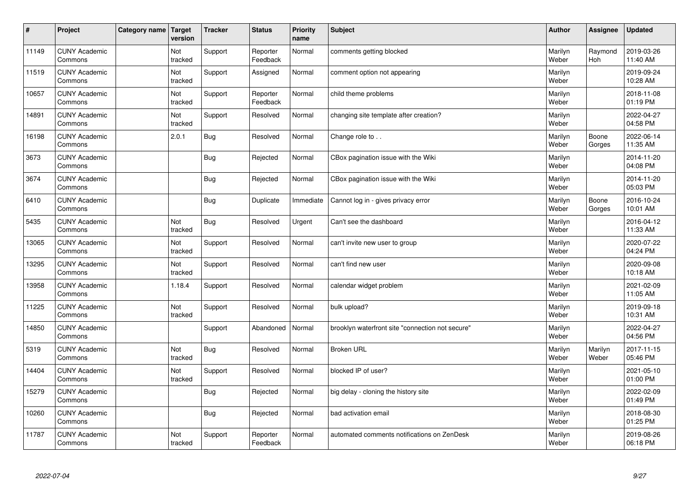| $\vert$ # | Project                         | Category name   Target | version        | <b>Tracker</b> | <b>Status</b>        | <b>Priority</b><br>name | <b>Subject</b>                                   | <b>Author</b>    | Assignee              | <b>Updated</b>         |
|-----------|---------------------------------|------------------------|----------------|----------------|----------------------|-------------------------|--------------------------------------------------|------------------|-----------------------|------------------------|
| 11149     | <b>CUNY Academic</b><br>Commons |                        | Not<br>tracked | Support        | Reporter<br>Feedback | Normal                  | comments getting blocked                         | Marilyn<br>Weber | Raymond<br><b>Hoh</b> | 2019-03-26<br>11:40 AM |
| 11519     | <b>CUNY Academic</b><br>Commons |                        | Not<br>tracked | Support        | Assigned             | Normal                  | comment option not appearing                     | Marilyn<br>Weber |                       | 2019-09-24<br>10:28 AM |
| 10657     | <b>CUNY Academic</b><br>Commons |                        | Not<br>tracked | Support        | Reporter<br>Feedback | Normal                  | child theme problems                             | Marilyn<br>Weber |                       | 2018-11-08<br>01:19 PM |
| 14891     | <b>CUNY Academic</b><br>Commons |                        | Not<br>tracked | Support        | Resolved             | Normal                  | changing site template after creation?           | Marilyn<br>Weber |                       | 2022-04-27<br>04:58 PM |
| 16198     | <b>CUNY Academic</b><br>Commons |                        | 2.0.1          | <b>Bug</b>     | Resolved             | Normal                  | Change role to                                   | Marilyn<br>Weber | Boone<br>Gorges       | 2022-06-14<br>11:35 AM |
| 3673      | <b>CUNY Academic</b><br>Commons |                        |                | Bug            | Rejected             | Normal                  | CBox pagination issue with the Wiki              | Marilyn<br>Weber |                       | 2014-11-20<br>04:08 PM |
| 3674      | <b>CUNY Academic</b><br>Commons |                        |                | Bug            | Rejected             | Normal                  | CBox pagination issue with the Wiki              | Marilyn<br>Weber |                       | 2014-11-20<br>05:03 PM |
| 6410      | <b>CUNY Academic</b><br>Commons |                        |                | Bug            | Duplicate            | Immediate               | Cannot log in - gives privacy error              | Marilyn<br>Weber | Boone<br>Gorges       | 2016-10-24<br>10:01 AM |
| 5435      | <b>CUNY Academic</b><br>Commons |                        | Not<br>tracked | <b>Bug</b>     | Resolved             | Urgent                  | Can't see the dashboard                          | Marilyn<br>Weber |                       | 2016-04-12<br>11:33 AM |
| 13065     | <b>CUNY Academic</b><br>Commons |                        | Not<br>tracked | Support        | Resolved             | Normal                  | can't invite new user to group                   | Marilyn<br>Weber |                       | 2020-07-22<br>04:24 PM |
| 13295     | <b>CUNY Academic</b><br>Commons |                        | Not<br>tracked | Support        | Resolved             | Normal                  | can't find new user                              | Marilyn<br>Weber |                       | 2020-09-08<br>10:18 AM |
| 13958     | <b>CUNY Academic</b><br>Commons |                        | 1.18.4         | Support        | Resolved             | Normal                  | calendar widget problem                          | Marilyn<br>Weber |                       | 2021-02-09<br>11:05 AM |
| 11225     | <b>CUNY Academic</b><br>Commons |                        | Not<br>tracked | Support        | Resolved             | Normal                  | bulk upload?                                     | Marilyn<br>Weber |                       | 2019-09-18<br>10:31 AM |
| 14850     | <b>CUNY Academic</b><br>Commons |                        |                | Support        | Abandoned            | Normal                  | brooklyn waterfront site "connection not secure" | Marilyn<br>Weber |                       | 2022-04-27<br>04:56 PM |
| 5319      | <b>CUNY Academic</b><br>Commons |                        | Not<br>tracked | Bug            | Resolved             | Normal                  | <b>Broken URL</b>                                | Marilyn<br>Weber | Marilyn<br>Weber      | 2017-11-15<br>05:46 PM |
| 14404     | <b>CUNY Academic</b><br>Commons |                        | Not<br>tracked | Support        | Resolved             | Normal                  | blocked IP of user?                              | Marilyn<br>Weber |                       | 2021-05-10<br>01:00 PM |
| 15279     | <b>CUNY Academic</b><br>Commons |                        |                | <b>Bug</b>     | Rejected             | Normal                  | big delay - cloning the history site             | Marilyn<br>Weber |                       | 2022-02-09<br>01:49 PM |
| 10260     | <b>CUNY Academic</b><br>Commons |                        |                | <b>Bug</b>     | Rejected             | Normal                  | bad activation email                             | Marilyn<br>Weber |                       | 2018-08-30<br>01:25 PM |
| 11787     | <b>CUNY Academic</b><br>Commons |                        | Not<br>tracked | Support        | Reporter<br>Feedback | Normal                  | automated comments notifications on ZenDesk      | Marilyn<br>Weber |                       | 2019-08-26<br>06:18 PM |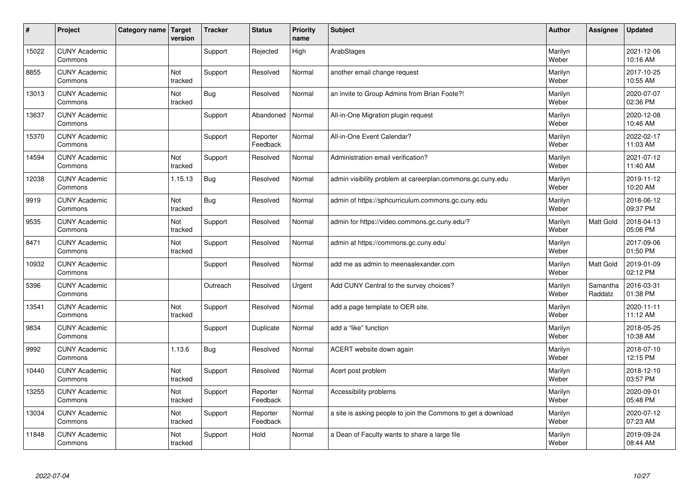| $\sharp$ | Project                         | Category name   Target | version        | <b>Tracker</b> | <b>Status</b>        | <b>Priority</b><br>name | <b>Subject</b>                                                | <b>Author</b>    | Assignee            | <b>Updated</b>         |
|----------|---------------------------------|------------------------|----------------|----------------|----------------------|-------------------------|---------------------------------------------------------------|------------------|---------------------|------------------------|
| 15022    | <b>CUNY Academic</b><br>Commons |                        |                | Support        | Rejected             | High                    | ArabStages                                                    | Marilyn<br>Weber |                     | 2021-12-06<br>10:16 AM |
| 8855     | <b>CUNY Academic</b><br>Commons |                        | Not<br>tracked | Support        | Resolved             | Normal                  | another email change request                                  | Marilyn<br>Weber |                     | 2017-10-25<br>10:55 AM |
| 13013    | <b>CUNY Academic</b><br>Commons |                        | Not<br>tracked | <b>Bug</b>     | Resolved             | Normal                  | an invite to Group Admins from Brian Foote?!                  | Marilyn<br>Weber |                     | 2020-07-07<br>02:36 PM |
| 13637    | <b>CUNY Academic</b><br>Commons |                        |                | Support        | Abandoned            | Normal                  | All-in-One Migration plugin request                           | Marilyn<br>Weber |                     | 2020-12-08<br>10:46 AM |
| 15370    | <b>CUNY Academic</b><br>Commons |                        |                | Support        | Reporter<br>Feedback | Normal                  | All-in-One Event Calendar?                                    | Marilyn<br>Weber |                     | 2022-02-17<br>11:03 AM |
| 14594    | <b>CUNY Academic</b><br>Commons |                        | Not<br>tracked | Support        | Resolved             | Normal                  | Administration email verification?                            | Marilyn<br>Weber |                     | 2021-07-12<br>11:40 AM |
| 12038    | <b>CUNY Academic</b><br>Commons |                        | 1.15.13        | <b>Bug</b>     | Resolved             | Normal                  | admin visibility problem at careerplan.commons.gc.cuny.edu    | Marilyn<br>Weber |                     | 2019-11-12<br>10:20 AM |
| 9919     | <b>CUNY Academic</b><br>Commons |                        | Not<br>tracked | <b>Bug</b>     | Resolved             | Normal                  | admin of https://sphcurriculum.commons.gc.cuny.edu            | Marilyn<br>Weber |                     | 2018-06-12<br>09:37 PM |
| 9535     | <b>CUNY Academic</b><br>Commons |                        | Not<br>tracked | Support        | Resolved             | Normal                  | admin for https://video.commons.gc.cuny.edu/?                 | Marilyn<br>Weber | Matt Gold           | 2018-04-13<br>05:06 PM |
| 8471     | <b>CUNY Academic</b><br>Commons |                        | Not<br>tracked | Support        | Resolved             | Normal                  | admin at https://commons.gc.cuny.edu/                         | Marilyn<br>Weber |                     | 2017-09-06<br>01:50 PM |
| 10932    | <b>CUNY Academic</b><br>Commons |                        |                | Support        | Resolved             | Normal                  | add me as admin to meenaalexander.com                         | Marilyn<br>Weber | Matt Gold           | 2019-01-09<br>02:12 PM |
| 5396     | <b>CUNY Academic</b><br>Commons |                        |                | Outreach       | Resolved             | Urgent                  | Add CUNY Central to the survey choices?                       | Marilyn<br>Weber | Samantha<br>Raddatz | 2016-03-31<br>01:38 PM |
| 13541    | <b>CUNY Academic</b><br>Commons |                        | Not<br>tracked | Support        | Resolved             | Normal                  | add a page template to OER site.                              | Marilyn<br>Weber |                     | 2020-11-11<br>11:12 AM |
| 9834     | <b>CUNY Academic</b><br>Commons |                        |                | Support        | Duplicate            | Normal                  | add a "like" function                                         | Marilyn<br>Weber |                     | 2018-05-25<br>10:38 AM |
| 9992     | <b>CUNY Academic</b><br>Commons |                        | 1.13.6         | <b>Bug</b>     | Resolved             | Normal                  | ACERT website down again                                      | Marilyn<br>Weber |                     | 2018-07-10<br>12:15 PM |
| 10440    | <b>CUNY Academic</b><br>Commons |                        | Not<br>tracked | Support        | Resolved             | Normal                  | Acert post problem                                            | Marilyn<br>Weber |                     | 2018-12-10<br>03:57 PM |
| 13255    | <b>CUNY Academic</b><br>Commons |                        | Not<br>tracked | Support        | Reporter<br>Feedback | Normal                  | Accessibility problems                                        | Marilyn<br>Weber |                     | 2020-09-01<br>05:48 PM |
| 13034    | <b>CUNY Academic</b><br>Commons |                        | Not<br>tracked | Support        | Reporter<br>Feedback | Normal                  | a site is asking people to join the Commons to get a download | Marilyn<br>Weber |                     | 2020-07-12<br>07:23 AM |
| 11848    | <b>CUNY Academic</b><br>Commons |                        | Not<br>tracked | Support        | Hold                 | Normal                  | a Dean of Faculty wants to share a large file                 | Marilyn<br>Weber |                     | 2019-09-24<br>08:44 AM |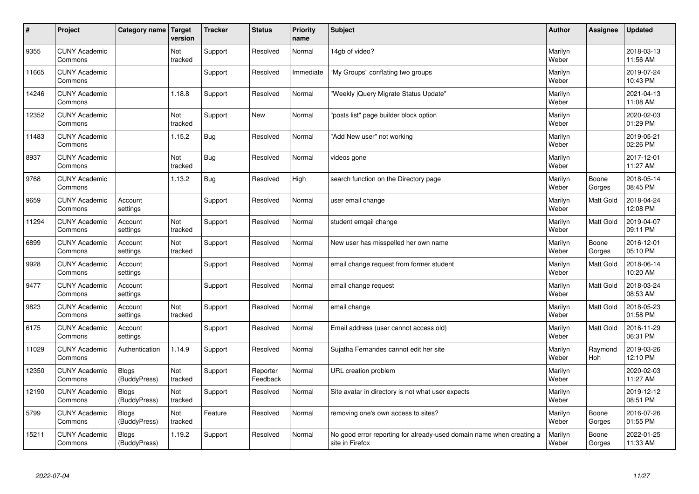| $\sharp$ | Project                         | Category name                | Target<br>version | <b>Tracker</b> | <b>Status</b>        | <b>Priority</b><br>name | <b>Subject</b>                                                                          | <b>Author</b>    | Assignee         | <b>Updated</b>         |
|----------|---------------------------------|------------------------------|-------------------|----------------|----------------------|-------------------------|-----------------------------------------------------------------------------------------|------------------|------------------|------------------------|
| 9355     | <b>CUNY Academic</b><br>Commons |                              | Not<br>tracked    | Support        | Resolved             | Normal                  | 14gb of video?                                                                          | Marilyn<br>Weber |                  | 2018-03-13<br>11:56 AM |
| 11665    | <b>CUNY Academic</b><br>Commons |                              |                   | Support        | Resolved             | Immediate               | 'My Groups" conflating two groups                                                       | Marilyn<br>Weber |                  | 2019-07-24<br>10:43 PM |
| 14246    | <b>CUNY Academic</b><br>Commons |                              | 1.18.8            | Support        | Resolved             | Normal                  | 'Weekly jQuery Migrate Status Update"                                                   | Marilyn<br>Weber |                  | 2021-04-13<br>11:08 AM |
| 12352    | <b>CUNY Academic</b><br>Commons |                              | Not<br>tracked    | Support        | <b>New</b>           | Normal                  | posts list" page builder block option                                                   | Marilyn<br>Weber |                  | 2020-02-03<br>01:29 PM |
| 11483    | <b>CUNY Academic</b><br>Commons |                              | 1.15.2            | Bug            | Resolved             | Normal                  | "Add New user" not working                                                              | Marilyn<br>Weber |                  | 2019-05-21<br>02:26 PM |
| 8937     | <b>CUNY Academic</b><br>Commons |                              | Not<br>tracked    | Bug            | Resolved             | Normal                  | videos gone                                                                             | Marilyn<br>Weber |                  | 2017-12-01<br>11:27 AM |
| 9768     | <b>CUNY Academic</b><br>Commons |                              | 1.13.2            | Bug            | Resolved             | High                    | search function on the Directory page                                                   | Marilyn<br>Weber | Boone<br>Gorges  | 2018-05-14<br>08:45 PM |
| 9659     | <b>CUNY Academic</b><br>Commons | Account<br>settings          |                   | Support        | Resolved             | Normal                  | user email change                                                                       | Marilyn<br>Weber | <b>Matt Gold</b> | 2018-04-24<br>12:08 PM |
| 11294    | <b>CUNY Academic</b><br>Commons | Account<br>settings          | Not<br>tracked    | Support        | Resolved             | Normal                  | student emgail change                                                                   | Marilyn<br>Weber | <b>Matt Gold</b> | 2019-04-07<br>09:11 PM |
| 6899     | <b>CUNY Academic</b><br>Commons | Account<br>settings          | Not<br>tracked    | Support        | Resolved             | Normal                  | New user has misspelled her own name                                                    | Marilyn<br>Weber | Boone<br>Gorges  | 2016-12-01<br>05:10 PM |
| 9928     | <b>CUNY Academic</b><br>Commons | Account<br>settings          |                   | Support        | Resolved             | Normal                  | email change request from former student                                                | Marilyn<br>Weber | Matt Gold        | 2018-06-14<br>10:20 AM |
| 9477     | <b>CUNY Academic</b><br>Commons | Account<br>settings          |                   | Support        | Resolved             | Normal                  | email change request                                                                    | Marilyn<br>Weber | <b>Matt Gold</b> | 2018-03-24<br>08:53 AM |
| 9823     | <b>CUNY Academic</b><br>Commons | Account<br>settings          | Not<br>tracked    | Support        | Resolved             | Normal                  | email change                                                                            | Marilyn<br>Weber | <b>Matt Gold</b> | 2018-05-23<br>01:58 PM |
| 6175     | <b>CUNY Academic</b><br>Commons | Account<br>settings          |                   | Support        | Resolved             | Normal                  | Email address (user cannot access old)                                                  | Marilyn<br>Weber | <b>Matt Gold</b> | 2016-11-29<br>06:31 PM |
| 11029    | <b>CUNY Academic</b><br>Commons | Authentication               | 1.14.9            | Support        | Resolved             | Normal                  | Sujatha Fernandes cannot edit her site                                                  | Marilyn<br>Weber | Raymond<br>Hoh   | 2019-03-26<br>12:10 PM |
| 12350    | <b>CUNY Academic</b><br>Commons | <b>Blogs</b><br>(BuddyPress) | Not<br>tracked    | Support        | Reporter<br>Feedback | Normal                  | URL creation problem                                                                    | Marilyn<br>Weber |                  | 2020-02-03<br>11:27 AM |
| 12190    | <b>CUNY Academic</b><br>Commons | Blogs<br>(BuddyPress)        | Not<br>tracked    | Support        | Resolved             | Normal                  | Site avatar in directory is not what user expects                                       | Marilyn<br>Weber |                  | 2019-12-12<br>08:51 PM |
| 5799     | <b>CUNY Academic</b><br>Commons | <b>Blogs</b><br>(BuddyPress) | Not<br>tracked    | Feature        | Resolved             | Normal                  | removing one's own access to sites?                                                     | Marilyn<br>Weber | Boone<br>Gorges  | 2016-07-26<br>01:55 PM |
| 15211    | <b>CUNY Academic</b><br>Commons | <b>Blogs</b><br>(BuddyPress) | 1.19.2            | Support        | Resolved             | Normal                  | No good error reporting for already-used domain name when creating a<br>site in Firefox | Marilyn<br>Weber | Boone<br>Gorges  | 2022-01-25<br>11:33 AM |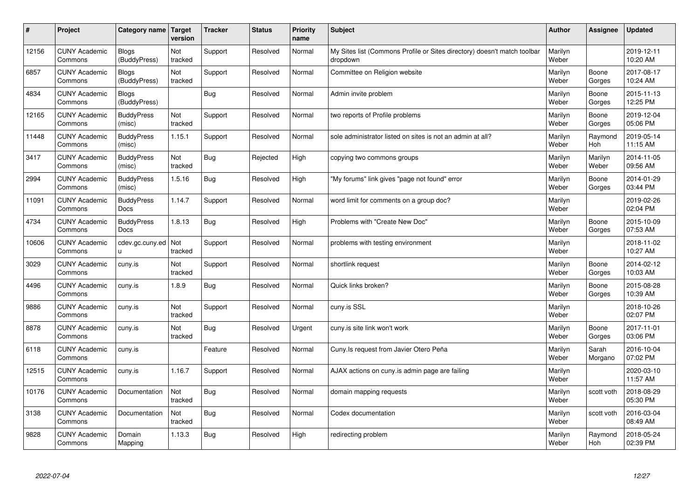| $\sharp$ | Project                         | <b>Category name</b>             | Target<br>version | <b>Tracker</b> | <b>Status</b> | <b>Priority</b><br>name | <b>Subject</b>                                                                       | <b>Author</b>    | <b>Assignee</b>  | <b>Updated</b>         |
|----------|---------------------------------|----------------------------------|-------------------|----------------|---------------|-------------------------|--------------------------------------------------------------------------------------|------------------|------------------|------------------------|
| 12156    | <b>CUNY Academic</b><br>Commons | <b>Blogs</b><br>(BuddyPress)     | Not<br>tracked    | Support        | Resolved      | Normal                  | My Sites list (Commons Profile or Sites directory) doesn't match toolbar<br>dropdown | Marilyn<br>Weber |                  | 2019-12-11<br>10:20 AM |
| 6857     | <b>CUNY Academic</b><br>Commons | <b>Blogs</b><br>(BuddyPress)     | Not<br>tracked    | Support        | Resolved      | Normal                  | Committee on Religion website                                                        | Marilyn<br>Weber | Boone<br>Gorges  | 2017-08-17<br>10:24 AM |
| 4834     | <b>CUNY Academic</b><br>Commons | <b>Blogs</b><br>(BuddyPress)     |                   | <b>Bug</b>     | Resolved      | Normal                  | Admin invite problem                                                                 | Marilyn<br>Weber | Boone<br>Gorges  | 2015-11-13<br>12:25 PM |
| 12165    | <b>CUNY Academic</b><br>Commons | <b>BuddyPress</b><br>(misc)      | Not<br>tracked    | Support        | Resolved      | Normal                  | two reports of Profile problems                                                      | Marilyn<br>Weber | Boone<br>Gorges  | 2019-12-04<br>05:06 PM |
| 11448    | <b>CUNY Academic</b><br>Commons | <b>BuddyPress</b><br>(misc)      | 1.15.1            | Support        | Resolved      | Normal                  | sole administrator listed on sites is not an admin at all?                           | Marilyn<br>Weber | Raymond<br>Hoh   | 2019-05-14<br>11:15 AM |
| 3417     | <b>CUNY Academic</b><br>Commons | <b>BuddyPress</b><br>(misc)      | Not<br>tracked    | <b>Bug</b>     | Rejected      | High                    | copying two commons groups                                                           | Marilyn<br>Weber | Marilyn<br>Weber | 2014-11-05<br>09:56 AM |
| 2994     | <b>CUNY Academic</b><br>Commons | <b>BuddyPress</b><br>(misc)      | 1.5.16            | <b>Bug</b>     | Resolved      | High                    | "My forums" link gives "page not found" error                                        | Marilyn<br>Weber | Boone<br>Gorges  | 2014-01-29<br>03:44 PM |
| 11091    | <b>CUNY Academic</b><br>Commons | <b>BuddyPress</b><br>Docs        | 1.14.7            | Support        | Resolved      | Normal                  | word limit for comments on a group doc?                                              | Marilyn<br>Weber |                  | 2019-02-26<br>02:04 PM |
| 4734     | <b>CUNY Academic</b><br>Commons | <b>BuddyPress</b><br><b>Docs</b> | 1.8.13            | Bug            | Resolved      | High                    | Problems with "Create New Doc"                                                       | Marilyn<br>Weber | Boone<br>Gorges  | 2015-10-09<br>07:53 AM |
| 10606    | <b>CUNY Academic</b><br>Commons | cdev.gc.cuny.ed<br>u             | Not<br>tracked    | Support        | Resolved      | Normal                  | problems with testing environment                                                    | Marilyn<br>Weber |                  | 2018-11-02<br>10:27 AM |
| 3029     | <b>CUNY Academic</b><br>Commons | cuny.is                          | Not<br>tracked    | Support        | Resolved      | Normal                  | shortlink request                                                                    | Marilyn<br>Weber | Boone<br>Gorges  | 2014-02-12<br>10:03 AM |
| 4496     | <b>CUNY Academic</b><br>Commons | cuny.is                          | 1.8.9             | <b>Bug</b>     | Resolved      | Normal                  | Quick links broken?                                                                  | Marilyn<br>Weber | Boone<br>Gorges  | 2015-08-28<br>10:39 AM |
| 9886     | <b>CUNY Academic</b><br>Commons | cuny.is                          | Not<br>tracked    | Support        | Resolved      | Normal                  | cuny.is SSL                                                                          | Marilyn<br>Weber |                  | 2018-10-26<br>02:07 PM |
| 8878     | <b>CUNY Academic</b><br>Commons | cuny.is                          | Not<br>tracked    | <b>Bug</b>     | Resolved      | Urgent                  | cuny.is site link won't work                                                         | Marilyn<br>Weber | Boone<br>Gorges  | 2017-11-01<br>03:06 PM |
| 6118     | <b>CUNY Academic</b><br>Commons | cuny.is                          |                   | Feature        | Resolved      | Normal                  | Cuny.Is request from Javier Otero Peña                                               | Marilyn<br>Weber | Sarah<br>Morgano | 2016-10-04<br>07:02 PM |
| 12515    | <b>CUNY Academic</b><br>Commons | cuny.is                          | 1.16.7            | Support        | Resolved      | Normal                  | AJAX actions on cuny is admin page are failing                                       | Marilyn<br>Weber |                  | 2020-03-10<br>11:57 AM |
| 10176    | <b>CUNY Academic</b><br>Commons | Documentation                    | Not<br>tracked    | <b>Bug</b>     | Resolved      | Normal                  | domain mapping requests                                                              | Marilyn<br>Weber | scott voth       | 2018-08-29<br>05:30 PM |
| 3138     | <b>CUNY Academic</b><br>Commons | Documentation                    | Not<br>tracked    | Bug            | Resolved      | Normal                  | Codex documentation                                                                  | Marilyn<br>Weber | scott voth       | 2016-03-04<br>08:49 AM |
| 9828     | <b>CUNY Academic</b><br>Commons | Domain<br>Mapping                | 1.13.3            | Bug            | Resolved      | High                    | redirecting problem                                                                  | Marilyn<br>Weber | Raymond<br>Hoh   | 2018-05-24<br>02:39 PM |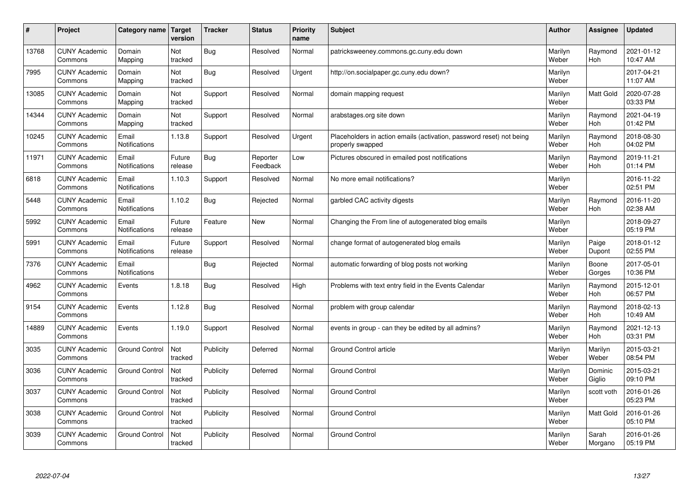| #     | Project                         | Category name                 | <b>Target</b><br>version | <b>Tracker</b> | <b>Status</b>        | <b>Priority</b><br>name | <b>Subject</b>                                                                           | <b>Author</b>    | Assignee              | <b>Updated</b>         |
|-------|---------------------------------|-------------------------------|--------------------------|----------------|----------------------|-------------------------|------------------------------------------------------------------------------------------|------------------|-----------------------|------------------------|
| 13768 | <b>CUNY Academic</b><br>Commons | Domain<br>Mapping             | Not<br>tracked           | <b>Bug</b>     | Resolved             | Normal                  | patricksweeney.commons.gc.cuny.edu down                                                  | Marilyn<br>Weber | Raymond<br>Hoh        | 2021-01-12<br>10:47 AM |
| 7995  | <b>CUNY Academic</b><br>Commons | Domain<br>Mapping             | Not<br>tracked           | <b>Bug</b>     | Resolved             | Urgent                  | http://on.socialpaper.gc.cuny.edu down?                                                  | Marilyn<br>Weber |                       | 2017-04-21<br>11:07 AM |
| 13085 | <b>CUNY Academic</b><br>Commons | Domain<br>Mapping             | Not<br>tracked           | Support        | Resolved             | Normal                  | domain mapping request                                                                   | Marilyn<br>Weber | Matt Gold             | 2020-07-28<br>03:33 PM |
| 14344 | <b>CUNY Academic</b><br>Commons | Domain<br>Mapping             | Not<br>tracked           | Support        | Resolved             | Normal                  | arabstages.org site down                                                                 | Marilyn<br>Weber | Raymond<br>Hoh        | 2021-04-19<br>01:42 PM |
| 10245 | <b>CUNY Academic</b><br>Commons | Email<br>Notifications        | 1.13.8                   | Support        | Resolved             | Urgent                  | Placeholders in action emails (activation, password reset) not being<br>properly swapped | Marilyn<br>Weber | Raymond<br>Hoh        | 2018-08-30<br>04:02 PM |
| 11971 | <b>CUNY Academic</b><br>Commons | Email<br>Notifications        | Future<br>release        | <b>Bug</b>     | Reporter<br>Feedback | Low                     | Pictures obscured in emailed post notifications                                          | Marilyn<br>Weber | Raymond<br>Hoh        | 2019-11-21<br>01:14 PM |
| 6818  | <b>CUNY Academic</b><br>Commons | Email<br>Notifications        | 1.10.3                   | Support        | Resolved             | Normal                  | No more email notifications?                                                             | Marilyn<br>Weber |                       | 2016-11-22<br>02:51 PM |
| 5448  | <b>CUNY Academic</b><br>Commons | Email<br><b>Notifications</b> | 1.10.2                   | Bug            | Rejected             | Normal                  | garbled CAC activity digests                                                             | Marilyn<br>Weber | Raymond<br><b>Hoh</b> | 2016-11-20<br>02:38 AM |
| 5992  | <b>CUNY Academic</b><br>Commons | Email<br>Notifications        | Future<br>release        | Feature        | New                  | Normal                  | Changing the From line of autogenerated blog emails                                      | Marilyn<br>Weber |                       | 2018-09-27<br>05:19 PM |
| 5991  | <b>CUNY Academic</b><br>Commons | Email<br>Notifications        | Future<br>release        | Support        | Resolved             | Normal                  | change format of autogenerated blog emails                                               | Marilyn<br>Weber | Paige<br>Dupont       | 2018-01-12<br>02:55 PM |
| 7376  | <b>CUNY Academic</b><br>Commons | Email<br>Notifications        |                          | <b>Bug</b>     | Rejected             | Normal                  | automatic forwarding of blog posts not working                                           | Marilyn<br>Weber | Boone<br>Gorges       | 2017-05-01<br>10:36 PM |
| 4962  | <b>CUNY Academic</b><br>Commons | Events                        | 1.8.18                   | <b>Bug</b>     | Resolved             | High                    | Problems with text entry field in the Events Calendar                                    | Marilyn<br>Weber | Raymond<br><b>Hoh</b> | 2015-12-01<br>06:57 PM |
| 9154  | <b>CUNY Academic</b><br>Commons | Events                        | 1.12.8                   | <b>Bug</b>     | Resolved             | Normal                  | problem with group calendar                                                              | Marilyn<br>Weber | Raymond<br>Hoh        | 2018-02-13<br>10:49 AM |
| 14889 | <b>CUNY Academic</b><br>Commons | Events                        | 1.19.0                   | Support        | Resolved             | Normal                  | events in group - can they be edited by all admins?                                      | Marilyn<br>Weber | Raymond<br>Hoh        | 2021-12-13<br>03:31 PM |
| 3035  | <b>CUNY Academic</b><br>Commons | Ground Control                | Not<br>tracked           | Publicity      | Deferred             | Normal                  | Ground Control article                                                                   | Marilyn<br>Weber | Marilyn<br>Weber      | 2015-03-21<br>08:54 PM |
| 3036  | <b>CUNY Academic</b><br>Commons | Ground Control                | Not<br>tracked           | Publicity      | Deferred             | Normal                  | <b>Ground Control</b>                                                                    | Marilyn<br>Weber | Dominic<br>Giglio     | 2015-03-21<br>09:10 PM |
| 3037  | <b>CUNY Academic</b><br>Commons | <b>Ground Control</b>         | Not<br>tracked           | Publicity      | Resolved             | Normal                  | <b>Ground Control</b>                                                                    | Marilyn<br>Weber | scott voth            | 2016-01-26<br>05:23 PM |
| 3038  | <b>CUNY Academic</b><br>Commons | <b>Ground Control</b>         | Not<br>tracked           | Publicity      | Resolved             | Normal                  | <b>Ground Control</b>                                                                    | Marilyn<br>Weber | Matt Gold             | 2016-01-26<br>05:10 PM |
| 3039  | <b>CUNY Academic</b><br>Commons | <b>Ground Control</b>         | Not<br>tracked           | Publicity      | Resolved             | Normal                  | <b>Ground Control</b>                                                                    | Marilyn<br>Weber | Sarah<br>Morgano      | 2016-01-26<br>05:19 PM |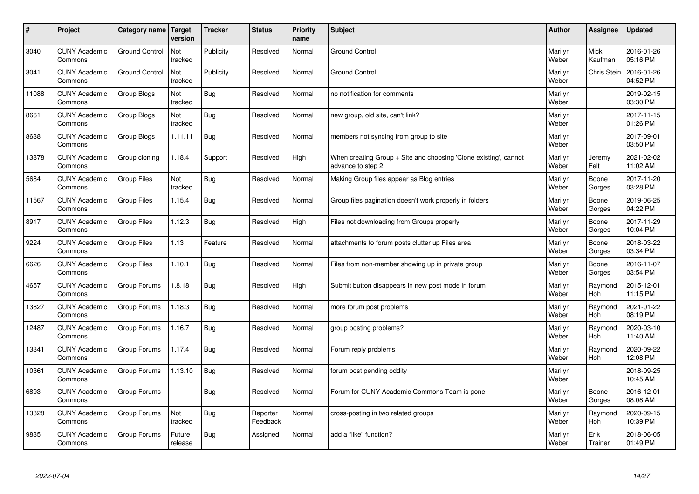| #     | Project                         | Category name   Target | version           | <b>Tracker</b> | <b>Status</b>        | <b>Priority</b><br>name | <b>Subject</b>                                                                        | <b>Author</b>    | Assignee              | <b>Updated</b>         |
|-------|---------------------------------|------------------------|-------------------|----------------|----------------------|-------------------------|---------------------------------------------------------------------------------------|------------------|-----------------------|------------------------|
| 3040  | <b>CUNY Academic</b><br>Commons | <b>Ground Control</b>  | Not<br>tracked    | Publicity      | Resolved             | Normal                  | <b>Ground Control</b>                                                                 | Marilyn<br>Weber | Micki<br>Kaufman      | 2016-01-26<br>05:16 PM |
| 3041  | <b>CUNY Academic</b><br>Commons | <b>Ground Control</b>  | Not<br>tracked    | Publicity      | Resolved             | Normal                  | <b>Ground Control</b>                                                                 | Marilyn<br>Weber | <b>Chris Stein</b>    | 2016-01-26<br>04:52 PM |
| 11088 | <b>CUNY Academic</b><br>Commons | Group Blogs            | Not<br>tracked    | Bug            | Resolved             | Normal                  | no notification for comments                                                          | Marilyn<br>Weber |                       | 2019-02-15<br>03:30 PM |
| 8661  | <b>CUNY Academic</b><br>Commons | Group Blogs            | Not<br>tracked    | Bug            | Resolved             | Normal                  | new group, old site, can't link?                                                      | Marilyn<br>Weber |                       | 2017-11-15<br>01:26 PM |
| 8638  | <b>CUNY Academic</b><br>Commons | Group Blogs            | 1.11.11           | Bug            | Resolved             | Normal                  | members not syncing from group to site                                                | Marilyn<br>Weber |                       | 2017-09-01<br>03:50 PM |
| 13878 | <b>CUNY Academic</b><br>Commons | Group cloning          | 1.18.4            | Support        | Resolved             | High                    | When creating Group + Site and choosing 'Clone existing', cannot<br>advance to step 2 | Marilyn<br>Weber | Jeremy<br>Felt        | 2021-02-02<br>11:02 AM |
| 5684  | <b>CUNY Academic</b><br>Commons | Group Files            | Not<br>tracked    | Bug            | Resolved             | Normal                  | Making Group files appear as Blog entries                                             | Marilyn<br>Weber | Boone<br>Gorges       | 2017-11-20<br>03:28 PM |
| 11567 | <b>CUNY Academic</b><br>Commons | <b>Group Files</b>     | 1.15.4            | Bug            | Resolved             | Normal                  | Group files pagination doesn't work properly in folders                               | Marilyn<br>Weber | Boone<br>Gorges       | 2019-06-25<br>04:22 PM |
| 8917  | <b>CUNY Academic</b><br>Commons | Group Files            | 1.12.3            | Bug            | Resolved             | High                    | Files not downloading from Groups properly                                            | Marilyn<br>Weber | Boone<br>Gorges       | 2017-11-29<br>10:04 PM |
| 9224  | <b>CUNY Academic</b><br>Commons | Group Files            | 1.13              | Feature        | Resolved             | Normal                  | attachments to forum posts clutter up Files area                                      | Marilyn<br>Weber | Boone<br>Gorges       | 2018-03-22<br>03:34 PM |
| 6626  | <b>CUNY Academic</b><br>Commons | <b>Group Files</b>     | 1.10.1            | Bug            | Resolved             | Normal                  | Files from non-member showing up in private group                                     | Marilyn<br>Weber | Boone<br>Gorges       | 2016-11-07<br>03:54 PM |
| 4657  | <b>CUNY Academic</b><br>Commons | Group Forums           | 1.8.18            | Bug            | Resolved             | High                    | Submit button disappears in new post mode in forum                                    | Marilyn<br>Weber | Raymond<br>Hoh        | 2015-12-01<br>11:15 PM |
| 13827 | <b>CUNY Academic</b><br>Commons | Group Forums           | 1.18.3            | Bug            | Resolved             | Normal                  | more forum post problems                                                              | Marilyn<br>Weber | Raymond<br>Hoh        | 2021-01-22<br>08:19 PM |
| 12487 | <b>CUNY Academic</b><br>Commons | Group Forums           | 1.16.7            | Bug            | Resolved             | Normal                  | group posting problems?                                                               | Marilyn<br>Weber | Raymond<br><b>Hoh</b> | 2020-03-10<br>11:40 AM |
| 13341 | <b>CUNY Academic</b><br>Commons | Group Forums           | 1.17.4            | Bug            | Resolved             | Normal                  | Forum reply problems                                                                  | Marilyn<br>Weber | Raymond<br><b>Hoh</b> | 2020-09-22<br>12:08 PM |
| 10361 | <b>CUNY Academic</b><br>Commons | Group Forums           | 1.13.10           | Bug            | Resolved             | Normal                  | forum post pending oddity                                                             | Marilyn<br>Weber |                       | 2018-09-25<br>10:45 AM |
| 6893  | <b>CUNY Academic</b><br>Commons | Group Forums           |                   | Bug            | Resolved             | Normal                  | Forum for CUNY Academic Commons Team is gone                                          | Marilyn<br>Weber | Boone<br>Gorges       | 2016-12-01<br>08:08 AM |
| 13328 | <b>CUNY Academic</b><br>Commons | Group Forums           | Not<br>tracked    | Bug            | Reporter<br>Feedback | Normal                  | cross-posting in two related groups                                                   | Marilyn<br>Weber | Raymond<br>Hoh        | 2020-09-15<br>10:39 PM |
| 9835  | <b>CUNY Academic</b><br>Commons | Group Forums           | Future<br>release | Bug            | Assigned             | Normal                  | add a "like" function?                                                                | Marilyn<br>Weber | Erik<br>Trainer       | 2018-06-05<br>01:49 PM |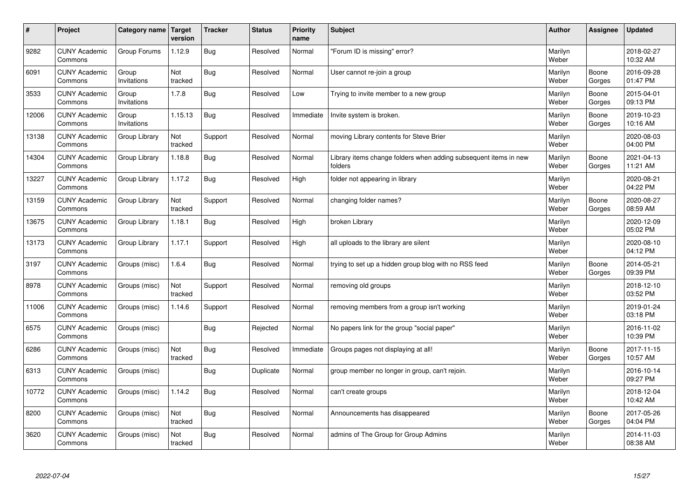| #     | Project                         | Category name   Target | version        | <b>Tracker</b> | <b>Status</b> | <b>Priority</b><br>name | <b>Subject</b>                                                              | <b>Author</b>    | Assignee        | <b>Updated</b>         |
|-------|---------------------------------|------------------------|----------------|----------------|---------------|-------------------------|-----------------------------------------------------------------------------|------------------|-----------------|------------------------|
| 9282  | <b>CUNY Academic</b><br>Commons | Group Forums           | 1.12.9         | Bug            | Resolved      | Normal                  | 'Forum ID is missing" error?                                                | Marilyn<br>Weber |                 | 2018-02-27<br>10:32 AM |
| 6091  | <b>CUNY Academic</b><br>Commons | Group<br>Invitations   | Not<br>tracked | Bug            | Resolved      | Normal                  | User cannot re-join a group                                                 | Marilyn<br>Weber | Boone<br>Gorges | 2016-09-28<br>01:47 PM |
| 3533  | <b>CUNY Academic</b><br>Commons | Group<br>Invitations   | 1.7.8          | Bug            | Resolved      | Low                     | Trying to invite member to a new group                                      | Marilyn<br>Weber | Boone<br>Gorges | 2015-04-01<br>09:13 PM |
| 12006 | <b>CUNY Academic</b><br>Commons | Group<br>Invitations   | 1.15.13        | Bug            | Resolved      | Immediate               | Invite system is broken.                                                    | Marilyn<br>Weber | Boone<br>Gorges | 2019-10-23<br>10:16 AM |
| 13138 | <b>CUNY Academic</b><br>Commons | Group Library          | Not<br>tracked | Support        | Resolved      | Normal                  | moving Library contents for Steve Brier                                     | Marilyn<br>Weber |                 | 2020-08-03<br>04:00 PM |
| 14304 | <b>CUNY Academic</b><br>Commons | Group Library          | 1.18.8         | Bug            | Resolved      | Normal                  | Library items change folders when adding subsequent items in new<br>folders | Marilyn<br>Weber | Boone<br>Gorges | 2021-04-13<br>11:21 AM |
| 13227 | <b>CUNY Academic</b><br>Commons | Group Library          | 1.17.2         | Bug            | Resolved      | High                    | folder not appearing in library                                             | Marilyn<br>Weber |                 | 2020-08-21<br>04:22 PM |
| 13159 | <b>CUNY Academic</b><br>Commons | Group Library          | Not<br>tracked | Support        | Resolved      | Normal                  | changing folder names?                                                      | Marilyn<br>Weber | Boone<br>Gorges | 2020-08-27<br>08:59 AM |
| 13675 | <b>CUNY Academic</b><br>Commons | Group Library          | 1.18.1         | Bug            | Resolved      | High                    | broken Library                                                              | Marilyn<br>Weber |                 | 2020-12-09<br>05:02 PM |
| 13173 | <b>CUNY Academic</b><br>Commons | Group Library          | 1.17.1         | Support        | Resolved      | High                    | all uploads to the library are silent                                       | Marilyn<br>Weber |                 | 2020-08-10<br>04:12 PM |
| 3197  | <b>CUNY Academic</b><br>Commons | Groups (misc)          | 1.6.4          | Bug            | Resolved      | Normal                  | trying to set up a hidden group blog with no RSS feed                       | Marilyn<br>Weber | Boone<br>Gorges | 2014-05-21<br>09:39 PM |
| 8978  | <b>CUNY Academic</b><br>Commons | Groups (misc)          | Not<br>tracked | Support        | Resolved      | Normal                  | removing old groups                                                         | Marilyn<br>Weber |                 | 2018-12-10<br>03:52 PM |
| 11006 | <b>CUNY Academic</b><br>Commons | Groups (misc)          | 1.14.6         | Support        | Resolved      | Normal                  | removing members from a group isn't working                                 | Marilyn<br>Weber |                 | 2019-01-24<br>03:18 PM |
| 6575  | <b>CUNY Academic</b><br>Commons | Groups (misc)          |                | Bug            | Rejected      | Normal                  | No papers link for the group "social paper"                                 | Marilyn<br>Weber |                 | 2016-11-02<br>10:39 PM |
| 6286  | <b>CUNY Academic</b><br>Commons | Groups (misc)          | Not<br>tracked | Bug            | Resolved      | Immediate               | Groups pages not displaying at all!                                         | Marilyn<br>Weber | Boone<br>Gorges | 2017-11-15<br>10:57 AM |
| 6313  | <b>CUNY Academic</b><br>Commons | Groups (misc)          |                | Bug            | Duplicate     | Normal                  | group member no longer in group, can't rejoin.                              | Marilyn<br>Weber |                 | 2016-10-14<br>09:27 PM |
| 10772 | <b>CUNY Academic</b><br>Commons | Groups (misc)          | 1.14.2         | Bug            | Resolved      | Normal                  | can't create groups                                                         | Marilyn<br>Weber |                 | 2018-12-04<br>10:42 AM |
| 8200  | <b>CUNY Academic</b><br>Commons | Groups (misc)          | Not<br>tracked | <b>Bug</b>     | Resolved      | Normal                  | Announcements has disappeared                                               | Marilyn<br>Weber | Boone<br>Gorges | 2017-05-26<br>04:04 PM |
| 3620  | <b>CUNY Academic</b><br>Commons | Groups (misc)          | Not<br>tracked | Bug            | Resolved      | Normal                  | admins of The Group for Group Admins                                        | Marilyn<br>Weber |                 | 2014-11-03<br>08:38 AM |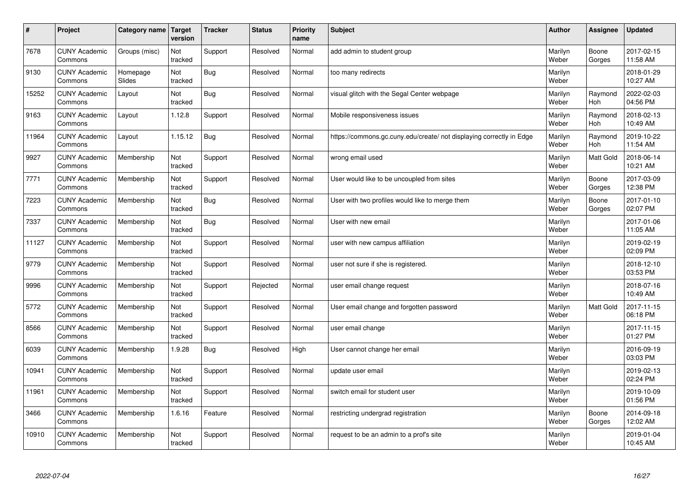| $\sharp$ | Project                         | Category name      | Target<br>version | <b>Tracker</b> | <b>Status</b> | <b>Priority</b><br>name | <b>Subject</b>                                                       | <b>Author</b>    | Assignee              | <b>Updated</b>         |
|----------|---------------------------------|--------------------|-------------------|----------------|---------------|-------------------------|----------------------------------------------------------------------|------------------|-----------------------|------------------------|
| 7678     | <b>CUNY Academic</b><br>Commons | Groups (misc)      | Not<br>tracked    | Support        | Resolved      | Normal                  | add admin to student group                                           | Marilyn<br>Weber | Boone<br>Gorges       | 2017-02-15<br>11:58 AM |
| 9130     | <b>CUNY Academic</b><br>Commons | Homepage<br>Slides | Not<br>tracked    | Bug            | Resolved      | Normal                  | too many redirects                                                   | Marilyn<br>Weber |                       | 2018-01-29<br>10:27 AM |
| 15252    | <b>CUNY Academic</b><br>Commons | Layout             | Not<br>tracked    | Bug            | Resolved      | Normal                  | visual glitch with the Segal Center webpage                          | Marilyn<br>Weber | Raymond<br><b>Hoh</b> | 2022-02-03<br>04:56 PM |
| 9163     | <b>CUNY Academic</b><br>Commons | Layout             | 1.12.8            | Support        | Resolved      | Normal                  | Mobile responsiveness issues                                         | Marilyn<br>Weber | Raymond<br><b>Hoh</b> | 2018-02-13<br>10:49 AM |
| 11964    | <b>CUNY Academic</b><br>Commons | Layout             | 1.15.12           | Bug            | Resolved      | Normal                  | https://commons.gc.cuny.edu/create/ not displaying correctly in Edge | Marilyn<br>Weber | Raymond<br>Hoh        | 2019-10-22<br>11:54 AM |
| 9927     | <b>CUNY Academic</b><br>Commons | Membership         | Not<br>tracked    | Support        | Resolved      | Normal                  | wrong email used                                                     | Marilyn<br>Weber | <b>Matt Gold</b>      | 2018-06-14<br>10:21 AM |
| 7771     | <b>CUNY Academic</b><br>Commons | Membership         | Not<br>tracked    | Support        | Resolved      | Normal                  | User would like to be uncoupled from sites                           | Marilyn<br>Weber | Boone<br>Gorges       | 2017-03-09<br>12:38 PM |
| 7223     | <b>CUNY Academic</b><br>Commons | Membership         | Not<br>tracked    | Bug            | Resolved      | Normal                  | User with two profiles would like to merge them                      | Marilyn<br>Weber | Boone<br>Gorges       | 2017-01-10<br>02:07 PM |
| 7337     | <b>CUNY Academic</b><br>Commons | Membership         | Not<br>tracked    | Bug            | Resolved      | Normal                  | User with new email                                                  | Marilyn<br>Weber |                       | 2017-01-06<br>11:05 AM |
| 11127    | <b>CUNY Academic</b><br>Commons | Membership         | Not<br>tracked    | Support        | Resolved      | Normal                  | user with new campus affiliation                                     | Marilyn<br>Weber |                       | 2019-02-19<br>02:09 PM |
| 9779     | <b>CUNY Academic</b><br>Commons | Membership         | Not<br>tracked    | Support        | Resolved      | Normal                  | user not sure if she is registered.                                  | Marilyn<br>Weber |                       | 2018-12-10<br>03:53 PM |
| 9996     | <b>CUNY Academic</b><br>Commons | Membership         | Not<br>tracked    | Support        | Rejected      | Normal                  | user email change request                                            | Marilyn<br>Weber |                       | 2018-07-16<br>10:49 AM |
| 5772     | <b>CUNY Academic</b><br>Commons | Membership         | Not<br>tracked    | Support        | Resolved      | Normal                  | User email change and forgotten password                             | Marilyn<br>Weber | <b>Matt Gold</b>      | 2017-11-15<br>06:18 PM |
| 8566     | <b>CUNY Academic</b><br>Commons | Membership         | Not<br>tracked    | Support        | Resolved      | Normal                  | user email change                                                    | Marilyn<br>Weber |                       | 2017-11-15<br>01:27 PM |
| 6039     | <b>CUNY Academic</b><br>Commons | Membership         | 1.9.28            | Bug            | Resolved      | High                    | User cannot change her email                                         | Marilyn<br>Weber |                       | 2016-09-19<br>03:03 PM |
| 10941    | <b>CUNY Academic</b><br>Commons | Membership         | Not<br>tracked    | Support        | Resolved      | Normal                  | update user email                                                    | Marilyn<br>Weber |                       | 2019-02-13<br>02:24 PM |
| 11961    | <b>CUNY Academic</b><br>Commons | Membership         | Not<br>tracked    | Support        | Resolved      | Normal                  | switch email for student user                                        | Marilyn<br>Weber |                       | 2019-10-09<br>01:56 PM |
| 3466     | <b>CUNY Academic</b><br>Commons | Membership         | 1.6.16            | Feature        | Resolved      | Normal                  | restricting undergrad registration                                   | Marilyn<br>Weber | Boone<br>Gorges       | 2014-09-18<br>12:02 AM |
| 10910    | <b>CUNY Academic</b><br>Commons | Membership         | Not<br>tracked    | Support        | Resolved      | Normal                  | request to be an admin to a prof's site                              | Marilyn<br>Weber |                       | 2019-01-04<br>10:45 AM |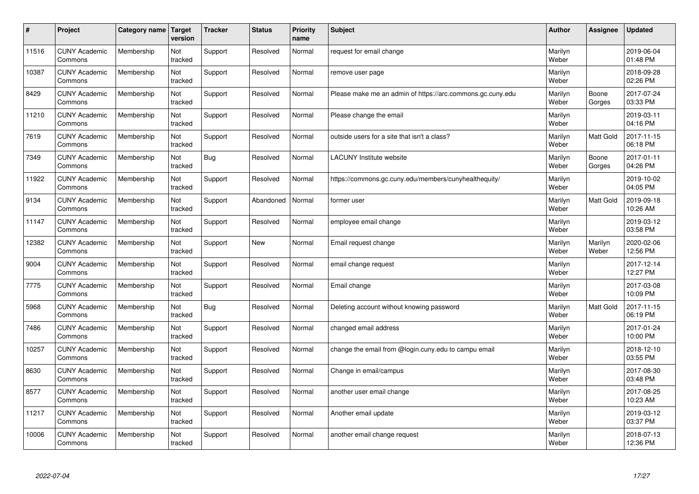| $\sharp$ | Project                         | Category name | Target<br>version | <b>Tracker</b> | <b>Status</b> | <b>Priority</b><br>name | <b>Subject</b>                                             | <b>Author</b>    | Assignee         | Updated                |
|----------|---------------------------------|---------------|-------------------|----------------|---------------|-------------------------|------------------------------------------------------------|------------------|------------------|------------------------|
| 11516    | <b>CUNY Academic</b><br>Commons | Membership    | Not<br>tracked    | Support        | Resolved      | Normal                  | request for email change                                   | Marilyn<br>Weber |                  | 2019-06-04<br>01:48 PM |
| 10387    | <b>CUNY Academic</b><br>Commons | Membership    | Not<br>tracked    | Support        | Resolved      | Normal                  | remove user page                                           | Marilyn<br>Weber |                  | 2018-09-28<br>02:26 PM |
| 8429     | <b>CUNY Academic</b><br>Commons | Membership    | Not<br>tracked    | Support        | Resolved      | Normal                  | Please make me an admin of https://arc.commons.gc.cuny.edu | Marilyn<br>Weber | Boone<br>Gorges  | 2017-07-24<br>03:33 PM |
| 11210    | <b>CUNY Academic</b><br>Commons | Membership    | Not<br>tracked    | Support        | Resolved      | Normal                  | Please change the email                                    | Marilyn<br>Weber |                  | 2019-03-11<br>04:16 PM |
| 7619     | <b>CUNY Academic</b><br>Commons | Membership    | Not<br>tracked    | Support        | Resolved      | Normal                  | outside users for a site that isn't a class?               | Marilyn<br>Weber | <b>Matt Gold</b> | 2017-11-15<br>06:18 PM |
| 7349     | <b>CUNY Academic</b><br>Commons | Membership    | Not<br>tracked    | Bug            | Resolved      | Normal                  | <b>LACUNY Institute website</b>                            | Marilyn<br>Weber | Boone<br>Gorges  | 2017-01-11<br>04:26 PM |
| 11922    | <b>CUNY Academic</b><br>Commons | Membership    | Not<br>tracked    | Support        | Resolved      | Normal                  | https://commons.gc.cuny.edu/members/cunyhealthequity/      | Marilyn<br>Weber |                  | 2019-10-02<br>04:05 PM |
| 9134     | <b>CUNY Academic</b><br>Commons | Membership    | Not<br>tracked    | Support        | Abandoned     | Normal                  | former user                                                | Marilyn<br>Weber | Matt Gold        | 2019-09-18<br>10:26 AM |
| 11147    | <b>CUNY Academic</b><br>Commons | Membership    | Not<br>tracked    | Support        | Resolved      | Normal                  | employee email change                                      | Marilyn<br>Weber |                  | 2019-03-12<br>03:58 PM |
| 12382    | <b>CUNY Academic</b><br>Commons | Membership    | Not<br>tracked    | Support        | <b>New</b>    | Normal                  | Email request change                                       | Marilyn<br>Weber | Marilyn<br>Weber | 2020-02-06<br>12:56 PM |
| 9004     | <b>CUNY Academic</b><br>Commons | Membership    | Not<br>tracked    | Support        | Resolved      | Normal                  | email change request                                       | Marilyn<br>Weber |                  | 2017-12-14<br>12:27 PM |
| 7775     | <b>CUNY Academic</b><br>Commons | Membership    | Not<br>tracked    | Support        | Resolved      | Normal                  | Email change                                               | Marilyn<br>Weber |                  | 2017-03-08<br>10:09 PM |
| 5968     | <b>CUNY Academic</b><br>Commons | Membership    | Not<br>tracked    | Bug            | Resolved      | Normal                  | Deleting account without knowing password                  | Marilyn<br>Weber | <b>Matt Gold</b> | 2017-11-15<br>06:19 PM |
| 7486     | <b>CUNY Academic</b><br>Commons | Membership    | Not<br>tracked    | Support        | Resolved      | Normal                  | changed email address                                      | Marilyn<br>Weber |                  | 2017-01-24<br>10:00 PM |
| 10257    | <b>CUNY Academic</b><br>Commons | Membership    | Not<br>tracked    | Support        | Resolved      | Normal                  | change the email from @login.cuny.edu to campu email       | Marilyn<br>Weber |                  | 2018-12-10<br>03:55 PM |
| 8630     | <b>CUNY Academic</b><br>Commons | Membership    | Not<br>tracked    | Support        | Resolved      | Normal                  | Change in email/campus                                     | Marilyn<br>Weber |                  | 2017-08-30<br>03:48 PM |
| 8577     | <b>CUNY Academic</b><br>Commons | Membership    | Not<br>tracked    | Support        | Resolved      | Normal                  | another user email change                                  | Marilyn<br>Weber |                  | 2017-08-25<br>10:23 AM |
| 11217    | <b>CUNY Academic</b><br>Commons | Membership    | Not<br>tracked    | Support        | Resolved      | Normal                  | Another email update                                       | Marilyn<br>Weber |                  | 2019-03-12<br>03:37 PM |
| 10006    | <b>CUNY Academic</b><br>Commons | Membership    | Not<br>tracked    | Support        | Resolved      | Normal                  | another email change request                               | Marilyn<br>Weber |                  | 2018-07-13<br>12:36 PM |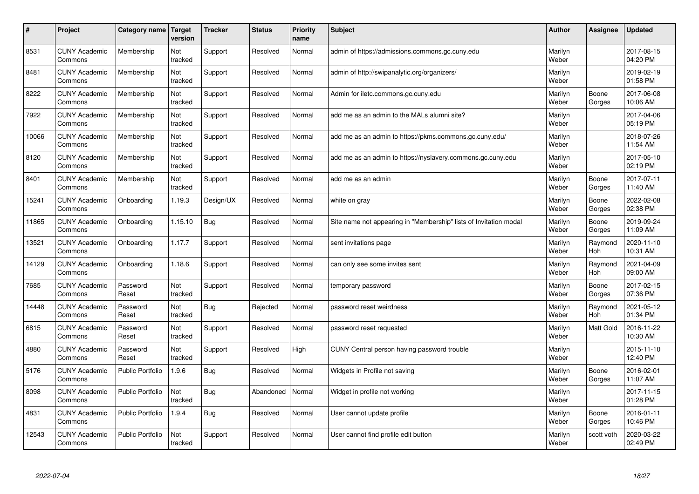| #     | Project                         | Category name   Target  | version        | <b>Tracker</b> | <b>Status</b> | <b>Priority</b><br>name | <b>Subject</b>                                                    | <b>Author</b>    | Assignee        | <b>Updated</b>         |
|-------|---------------------------------|-------------------------|----------------|----------------|---------------|-------------------------|-------------------------------------------------------------------|------------------|-----------------|------------------------|
| 8531  | <b>CUNY Academic</b><br>Commons | Membership              | Not<br>tracked | Support        | Resolved      | Normal                  | admin of https://admissions.commons.gc.cuny.edu                   | Marilyn<br>Weber |                 | 2017-08-15<br>04:20 PM |
| 8481  | <b>CUNY Academic</b><br>Commons | Membership              | Not<br>tracked | Support        | Resolved      | Normal                  | admin of http://swipanalytic.org/organizers/                      | Marilyn<br>Weber |                 | 2019-02-19<br>01:58 PM |
| 8222  | <b>CUNY Academic</b><br>Commons | Membership              | Not<br>tracked | Support        | Resolved      | Normal                  | Admin for iletc.commons.gc.cuny.edu                               | Marilyn<br>Weber | Boone<br>Gorges | 2017-06-08<br>10:06 AM |
| 7922  | <b>CUNY Academic</b><br>Commons | Membership              | Not<br>tracked | Support        | Resolved      | Normal                  | add me as an admin to the MALs alumni site?                       | Marilyn<br>Weber |                 | 2017-04-06<br>05:19 PM |
| 10066 | <b>CUNY Academic</b><br>Commons | Membership              | Not<br>tracked | Support        | Resolved      | Normal                  | add me as an admin to https://pkms.commons.gc.cuny.edu/           | Marilyn<br>Weber |                 | 2018-07-26<br>11:54 AM |
| 8120  | <b>CUNY Academic</b><br>Commons | Membership              | Not<br>tracked | Support        | Resolved      | Normal                  | add me as an admin to https://nyslavery.commons.gc.cuny.edu       | Marilyn<br>Weber |                 | 2017-05-10<br>02:19 PM |
| 8401  | <b>CUNY Academic</b><br>Commons | Membership              | Not<br>tracked | Support        | Resolved      | Normal                  | add me as an admin                                                | Marilyn<br>Weber | Boone<br>Gorges | 2017-07-11<br>11:40 AM |
| 15241 | <b>CUNY Academic</b><br>Commons | Onboarding              | 1.19.3         | Design/UX      | Resolved      | Normal                  | white on gray                                                     | Marilyn<br>Weber | Boone<br>Gorges | 2022-02-08<br>02:38 PM |
| 11865 | <b>CUNY Academic</b><br>Commons | Onboarding              | 1.15.10        | Bug            | Resolved      | Normal                  | Site name not appearing in "Membership" lists of Invitation modal | Marilyn<br>Weber | Boone<br>Gorges | 2019-09-24<br>11:09 AM |
| 13521 | <b>CUNY Academic</b><br>Commons | Onboarding              | 1.17.7         | Support        | Resolved      | Normal                  | sent invitations page                                             | Marilyn<br>Weber | Raymond<br>Hoh  | 2020-11-10<br>10:31 AM |
| 14129 | <b>CUNY Academic</b><br>Commons | Onboarding              | 1.18.6         | Support        | Resolved      | Normal                  | can only see some invites sent                                    | Marilyn<br>Weber | Raymond<br>Hoh  | 2021-04-09<br>09:00 AM |
| 7685  | <b>CUNY Academic</b><br>Commons | Password<br>Reset       | Not<br>tracked | Support        | Resolved      | Normal                  | temporary password                                                | Marilyn<br>Weber | Boone<br>Gorges | 2017-02-15<br>07:36 PM |
| 14448 | <b>CUNY Academic</b><br>Commons | Password<br>Reset       | Not<br>tracked | Bug            | Rejected      | Normal                  | password reset weirdness                                          | Marilyn<br>Weber | Raymond<br>Hoh  | 2021-05-12<br>01:34 PM |
| 6815  | <b>CUNY Academic</b><br>Commons | Password<br>Reset       | Not<br>tracked | Support        | Resolved      | Normal                  | password reset requested                                          | Marilyn<br>Weber | Matt Gold       | 2016-11-22<br>10:30 AM |
| 4880  | <b>CUNY Academic</b><br>Commons | Password<br>Reset       | Not<br>tracked | Support        | Resolved      | High                    | CUNY Central person having password trouble                       | Marilyn<br>Weber |                 | 2015-11-10<br>12:40 PM |
| 5176  | <b>CUNY Academic</b><br>Commons | <b>Public Portfolio</b> | 1.9.6          | Bug            | Resolved      | Normal                  | Widgets in Profile not saving                                     | Marilyn<br>Weber | Boone<br>Gorges | 2016-02-01<br>11:07 AM |
| 8098  | <b>CUNY Academic</b><br>Commons | Public Portfolio        | Not<br>tracked | Bug            | Abandoned     | Normal                  | Widget in profile not working                                     | Marilyn<br>Weber |                 | 2017-11-15<br>01:28 PM |
| 4831  | <b>CUNY Academic</b><br>Commons | Public Portfolio        | 1.9.4          | Bug            | Resolved      | Normal                  | User cannot update profile                                        | Marilyn<br>Weber | Boone<br>Gorges | 2016-01-11<br>10:46 PM |
| 12543 | <b>CUNY Academic</b><br>Commons | Public Portfolio        | Not<br>tracked | Support        | Resolved      | Normal                  | User cannot find profile edit button                              | Marilyn<br>Weber | scott voth      | 2020-03-22<br>02:49 PM |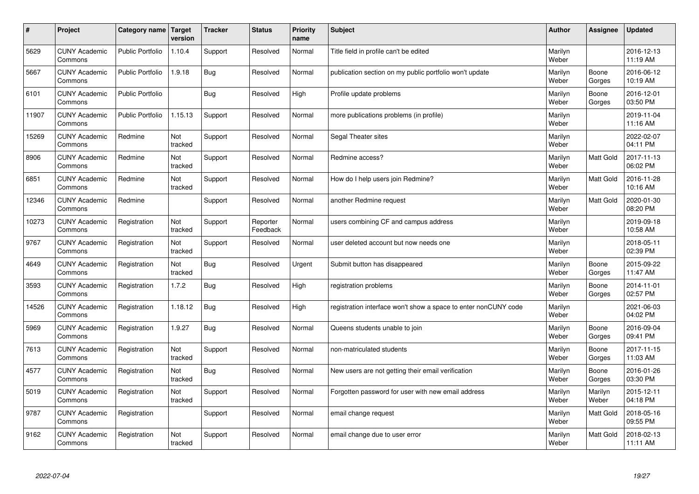| $\pmb{\#}$ | Project                         | Category name           | Target<br>version | <b>Tracker</b> | <b>Status</b>        | <b>Priority</b><br>name | <b>Subject</b>                                                  | <b>Author</b>    | <b>Assignee</b>  | <b>Updated</b>         |
|------------|---------------------------------|-------------------------|-------------------|----------------|----------------------|-------------------------|-----------------------------------------------------------------|------------------|------------------|------------------------|
| 5629       | <b>CUNY Academic</b><br>Commons | <b>Public Portfolio</b> | 1.10.4            | Support        | Resolved             | Normal                  | Title field in profile can't be edited                          | Marilyn<br>Weber |                  | 2016-12-13<br>11:19 AM |
| 5667       | <b>CUNY Academic</b><br>Commons | <b>Public Portfolio</b> | 1.9.18            | Bug            | Resolved             | Normal                  | publication section on my public portfolio won't update         | Marilyn<br>Weber | Boone<br>Gorges  | 2016-06-12<br>10:19 AM |
| 6101       | <b>CUNY Academic</b><br>Commons | <b>Public Portfolio</b> |                   | <b>Bug</b>     | Resolved             | High                    | Profile update problems                                         | Marilyn<br>Weber | Boone<br>Gorges  | 2016-12-01<br>03:50 PM |
| 11907      | <b>CUNY Academic</b><br>Commons | <b>Public Portfolio</b> | 1.15.13           | Support        | Resolved             | Normal                  | more publications problems (in profile)                         | Marilyn<br>Weber |                  | 2019-11-04<br>11:16 AM |
| 15269      | <b>CUNY Academic</b><br>Commons | Redmine                 | Not<br>tracked    | Support        | Resolved             | Normal                  | Segal Theater sites                                             | Marilyn<br>Weber |                  | 2022-02-07<br>04:11 PM |
| 8906       | <b>CUNY Academic</b><br>Commons | Redmine                 | Not<br>tracked    | Support        | Resolved             | Normal                  | Redmine access?                                                 | Marilyn<br>Weber | Matt Gold        | 2017-11-13<br>06:02 PM |
| 6851       | <b>CUNY Academic</b><br>Commons | Redmine                 | Not<br>tracked    | Support        | Resolved             | Normal                  | How do I help users join Redmine?                               | Marilyn<br>Weber | Matt Gold        | 2016-11-28<br>10:16 AM |
| 12346      | <b>CUNY Academic</b><br>Commons | Redmine                 |                   | Support        | Resolved             | Normal                  | another Redmine request                                         | Marilyn<br>Weber | Matt Gold        | 2020-01-30<br>08:20 PM |
| 10273      | <b>CUNY Academic</b><br>Commons | Registration            | Not<br>tracked    | Support        | Reporter<br>Feedback | Normal                  | users combining CF and campus address                           | Marilyn<br>Weber |                  | 2019-09-18<br>10:58 AM |
| 9767       | <b>CUNY Academic</b><br>Commons | Registration            | Not<br>tracked    | Support        | Resolved             | Normal                  | user deleted account but now needs one                          | Marilyn<br>Weber |                  | 2018-05-11<br>02:39 PM |
| 4649       | <b>CUNY Academic</b><br>Commons | Registration            | Not<br>tracked    | Bug            | Resolved             | Urgent                  | Submit button has disappeared                                   | Marilyn<br>Weber | Boone<br>Gorges  | 2015-09-22<br>11:47 AM |
| 3593       | <b>CUNY Academic</b><br>Commons | Registration            | 1.7.2             | Bug            | Resolved             | High                    | registration problems                                           | Marilyn<br>Weber | Boone<br>Gorges  | 2014-11-01<br>02:57 PM |
| 14526      | <b>CUNY Academic</b><br>Commons | Registration            | 1.18.12           | <b>Bug</b>     | Resolved             | High                    | registration interface won't show a space to enter nonCUNY code | Marilyn<br>Weber |                  | 2021-06-03<br>04:02 PM |
| 5969       | <b>CUNY Academic</b><br>Commons | Registration            | 1.9.27            | <b>Bug</b>     | Resolved             | Normal                  | Queens students unable to join                                  | Marilyn<br>Weber | Boone<br>Gorges  | 2016-09-04<br>09:41 PM |
| 7613       | <b>CUNY Academic</b><br>Commons | Registration            | Not<br>tracked    | Support        | Resolved             | Normal                  | non-matriculated students                                       | Marilyn<br>Weber | Boone<br>Gorges  | 2017-11-15<br>11:03 AM |
| 4577       | <b>CUNY Academic</b><br>Commons | Registration            | Not<br>tracked    | <b>Bug</b>     | Resolved             | Normal                  | New users are not getting their email verification              | Marilyn<br>Weber | Boone<br>Gorges  | 2016-01-26<br>03:30 PM |
| 5019       | <b>CUNY Academic</b><br>Commons | Registration            | Not<br>tracked    | Support        | Resolved             | Normal                  | Forgotten password for user with new email address              | Marilyn<br>Weber | Marilyn<br>Weber | 2015-12-11<br>04:18 PM |
| 9787       | <b>CUNY Academic</b><br>Commons | Registration            |                   | Support        | Resolved             | Normal                  | email change request                                            | Marilyn<br>Weber | Matt Gold        | 2018-05-16<br>09:55 PM |
| 9162       | <b>CUNY Academic</b><br>Commons | Registration            | Not<br>tracked    | Support        | Resolved             | Normal                  | email change due to user error                                  | Marilyn<br>Weber | <b>Matt Gold</b> | 2018-02-13<br>11:11 AM |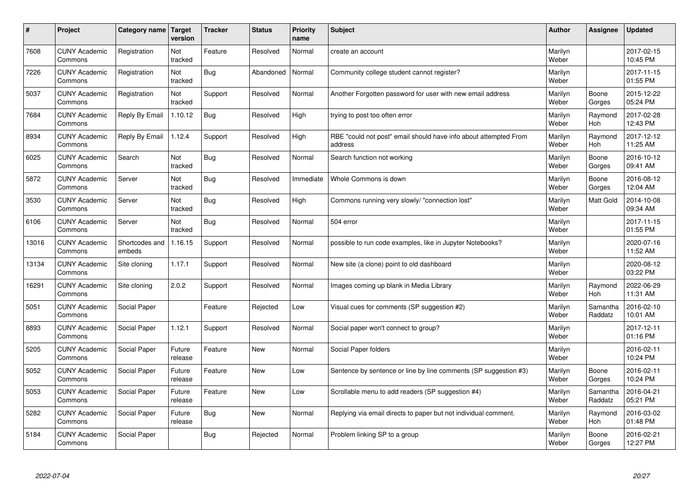| $\sharp$ | Project                         | Category name   Target   | version           | <b>Tracker</b> | <b>Status</b> | <b>Priority</b><br>name | <b>Subject</b>                                                              | <b>Author</b>    | <b>Assignee</b>       | <b>Updated</b>         |
|----------|---------------------------------|--------------------------|-------------------|----------------|---------------|-------------------------|-----------------------------------------------------------------------------|------------------|-----------------------|------------------------|
| 7608     | <b>CUNY Academic</b><br>Commons | Registration             | Not<br>tracked    | Feature        | Resolved      | Normal                  | create an account                                                           | Marilyn<br>Weber |                       | 2017-02-15<br>10:45 PM |
| 7226     | <b>CUNY Academic</b><br>Commons | Registration             | Not<br>tracked    | Bug            | Abandoned     | Normal                  | Community college student cannot register?                                  | Marilyn<br>Weber |                       | 2017-11-15<br>01:55 PM |
| 5037     | <b>CUNY Academic</b><br>Commons | Registration             | Not<br>tracked    | Support        | Resolved      | Normal                  | Another Forgotten password for user with new email address                  | Marilyn<br>Weber | Boone<br>Gorges       | 2015-12-22<br>05:24 PM |
| 7684     | <b>CUNY Academic</b><br>Commons | Reply By Email           | 1.10.12           | Bug            | Resolved      | High                    | trying to post too often error                                              | Marilyn<br>Weber | Raymond<br><b>Hoh</b> | 2017-02-28<br>12:43 PM |
| 8934     | <b>CUNY Academic</b><br>Commons | Reply By Email           | 1.12.4            | Support        | Resolved      | High                    | RBE "could not post" email should have info about attempted From<br>address | Marilyn<br>Weber | Raymond<br>Hoh        | 2017-12-12<br>11:25 AM |
| 6025     | <b>CUNY Academic</b><br>Commons | Search                   | Not<br>tracked    | Bug            | Resolved      | Normal                  | Search function not working                                                 | Marilyn<br>Weber | Boone<br>Gorges       | 2016-10-12<br>09:41 AM |
| 5872     | <b>CUNY Academic</b><br>Commons | Server                   | Not<br>tracked    | Bug            | Resolved      | Immediate               | Whole Commons is down                                                       | Marilyn<br>Weber | Boone<br>Gorges       | 2016-08-12<br>12:04 AM |
| 3530     | <b>CUNY Academic</b><br>Commons | Server                   | Not<br>tracked    | Bug            | Resolved      | High                    | Commons running very slowly/ "connection lost"                              | Marilyn<br>Weber | <b>Matt Gold</b>      | 2014-10-08<br>09:34 AM |
| 6106     | <b>CUNY Academic</b><br>Commons | Server                   | Not<br>tracked    | Bug            | Resolved      | Normal                  | 504 error                                                                   | Marilyn<br>Weber |                       | 2017-11-15<br>01:55 PM |
| 13016    | <b>CUNY Academic</b><br>Commons | Shortcodes and<br>embeds | 1.16.15           | Support        | Resolved      | Normal                  | possible to run code examples, like in Jupyter Notebooks?                   | Marilyn<br>Weber |                       | 2020-07-16<br>11:52 AM |
| 13134    | <b>CUNY Academic</b><br>Commons | Site cloning             | 1.17.1            | Support        | Resolved      | Normal                  | New site (a clone) point to old dashboard                                   | Marilyn<br>Weber |                       | 2020-08-12<br>03:22 PM |
| 16291    | <b>CUNY Academic</b><br>Commons | Site cloning             | 2.0.2             | Support        | Resolved      | Normal                  | Images coming up blank in Media Library                                     | Marilyn<br>Weber | Raymond<br><b>Hoh</b> | 2022-06-29<br>11:31 AM |
| 5051     | <b>CUNY Academic</b><br>Commons | Social Paper             |                   | Feature        | Rejected      | Low                     | Visual cues for comments (SP suggestion #2)                                 | Marilyn<br>Weber | Samantha<br>Raddatz   | 2016-02-10<br>10:01 AM |
| 8893     | <b>CUNY Academic</b><br>Commons | Social Paper             | 1.12.1            | Support        | Resolved      | Normal                  | Social paper won't connect to group?                                        | Marilyn<br>Weber |                       | 2017-12-11<br>01:16 PM |
| 5205     | <b>CUNY Academic</b><br>Commons | Social Paper             | Future<br>release | Feature        | <b>New</b>    | Normal                  | Social Paper folders                                                        | Marilyn<br>Weber |                       | 2016-02-11<br>10:24 PM |
| 5052     | <b>CUNY Academic</b><br>Commons | Social Paper             | Future<br>release | Feature        | <b>New</b>    | Low                     | Sentence by sentence or line by line comments (SP suggestion #3)            | Marilyn<br>Weber | Boone<br>Gorges       | 2016-02-11<br>10:24 PM |
| 5053     | <b>CUNY Academic</b><br>Commons | Social Paper             | Future<br>release | Feature        | <b>New</b>    | Low                     | Scrollable menu to add readers (SP suggestion #4)                           | Marilyn<br>Weber | Samantha<br>Raddatz   | 2016-04-21<br>05:21 PM |
| 5282     | <b>CUNY Academic</b><br>Commons | Social Paper             | Future<br>release | Bug            | New           | Normal                  | Replying via email directs to paper but not individual comment.             | Marilyn<br>Weber | Raymond<br>Hoh        | 2016-03-02<br>01:48 PM |
| 5184     | <b>CUNY Academic</b><br>Commons | Social Paper             |                   | Bug            | Rejected      | Normal                  | Problem linking SP to a group                                               | Marilyn<br>Weber | Boone<br>Gorges       | 2016-02-21<br>12:27 PM |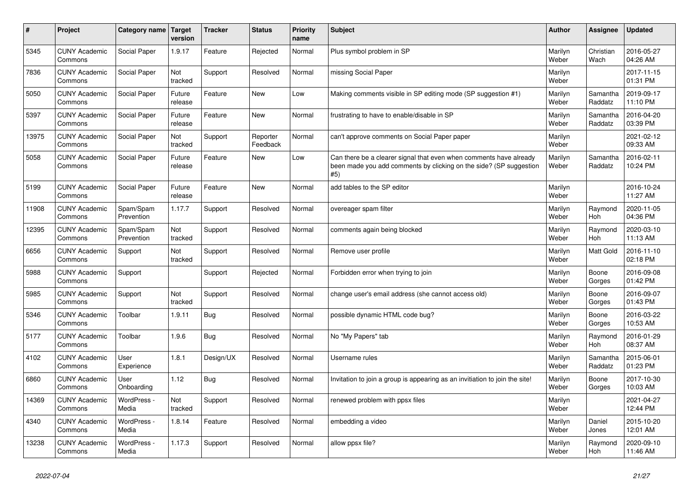| $\pmb{\sharp}$ | Project                         | Category name           | <b>Target</b><br>version | <b>Tracker</b> | <b>Status</b>        | <b>Priority</b><br>name | <b>Subject</b>                                                                                                                                  | <b>Author</b>    | Assignee            | <b>Updated</b>         |
|----------------|---------------------------------|-------------------------|--------------------------|----------------|----------------------|-------------------------|-------------------------------------------------------------------------------------------------------------------------------------------------|------------------|---------------------|------------------------|
| 5345           | <b>CUNY Academic</b><br>Commons | Social Paper            | 1.9.17                   | Feature        | Rejected             | Normal                  | Plus symbol problem in SP                                                                                                                       | Marilyn<br>Weber | Christian<br>Wach   | 2016-05-27<br>04:26 AM |
| 7836           | <b>CUNY Academic</b><br>Commons | Social Paper            | Not<br>tracked           | Support        | Resolved             | Normal                  | missing Social Paper                                                                                                                            | Marilyn<br>Weber |                     | 2017-11-15<br>01:31 PM |
| 5050           | <b>CUNY Academic</b><br>Commons | Social Paper            | Future<br>release        | Feature        | <b>New</b>           | Low                     | Making comments visible in SP editing mode (SP suggestion #1)                                                                                   | Marilyn<br>Weber | Samantha<br>Raddatz | 2019-09-17<br>11:10 PM |
| 5397           | <b>CUNY Academic</b><br>Commons | <b>Social Paper</b>     | Future<br>release        | Feature        | <b>New</b>           | Normal                  | frustrating to have to enable/disable in SP                                                                                                     | Marilyn<br>Weber | Samantha<br>Raddatz | 2016-04-20<br>03:39 PM |
| 13975          | <b>CUNY Academic</b><br>Commons | Social Paper            | Not<br>tracked           | Support        | Reporter<br>Feedback | Normal                  | can't approve comments on Social Paper paper                                                                                                    | Marilyn<br>Weber |                     | 2021-02-12<br>09:33 AM |
| 5058           | <b>CUNY Academic</b><br>Commons | Social Paper            | Future<br>release        | Feature        | <b>New</b>           | Low                     | Can there be a clearer signal that even when comments have already<br>been made you add comments by clicking on the side? (SP suggestion<br>#5) | Marilyn<br>Weber | Samantha<br>Raddatz | 2016-02-11<br>10:24 PM |
| 5199           | <b>CUNY Academic</b><br>Commons | Social Paper            | Future<br>release        | Feature        | New                  | Normal                  | add tables to the SP editor                                                                                                                     | Marilyn<br>Weber |                     | 2016-10-24<br>11:27 AM |
| 11908          | <b>CUNY Academic</b><br>Commons | Spam/Spam<br>Prevention | 1.17.7                   | Support        | Resolved             | Normal                  | overeager spam filter                                                                                                                           | Marilyn<br>Weber | Raymond<br>Hoh      | 2020-11-05<br>04:36 PM |
| 12395          | <b>CUNY Academic</b><br>Commons | Spam/Spam<br>Prevention | Not<br>tracked           | Support        | Resolved             | Normal                  | comments again being blocked                                                                                                                    | Marilyn<br>Weber | Raymond<br>Hoh      | 2020-03-10<br>11:13 AM |
| 6656           | <b>CUNY Academic</b><br>Commons | Support                 | Not<br>tracked           | Support        | Resolved             | Normal                  | Remove user profile                                                                                                                             | Marilyn<br>Weber | Matt Gold           | 2016-11-10<br>02:18 PM |
| 5988           | <b>CUNY Academic</b><br>Commons | Support                 |                          | Support        | Rejected             | Normal                  | Forbidden error when trying to join                                                                                                             | Marilyn<br>Weber | Boone<br>Gorges     | 2016-09-08<br>01:42 PM |
| 5985           | <b>CUNY Academic</b><br>Commons | Support                 | Not<br>tracked           | Support        | Resolved             | Normal                  | change user's email address (she cannot access old)                                                                                             | Marilyn<br>Weber | Boone<br>Gorges     | 2016-09-07<br>01:43 PM |
| 5346           | <b>CUNY Academic</b><br>Commons | Toolbar                 | 1.9.11                   | Bug            | Resolved             | Normal                  | possible dynamic HTML code bug?                                                                                                                 | Marilyn<br>Weber | Boone<br>Gorges     | 2016-03-22<br>10:53 AM |
| 5177           | <b>CUNY Academic</b><br>Commons | Toolbar                 | 1.9.6                    | <b>Bug</b>     | Resolved             | Normal                  | No "My Papers" tab                                                                                                                              | Marilyn<br>Weber | Raymond<br>Hoh      | 2016-01-29<br>08:37 AM |
| 4102           | <b>CUNY Academic</b><br>Commons | User<br>Experience      | 1.8.1                    | Design/UX      | Resolved             | Normal                  | Username rules                                                                                                                                  | Marilyn<br>Weber | Samantha<br>Raddatz | 2015-06-01<br>01:23 PM |
| 6860           | <b>CUNY Academic</b><br>Commons | User<br>Onboarding      | 1.12                     | <b>Bug</b>     | Resolved             | Normal                  | Invitation to join a group is appearing as an invitiation to join the site!                                                                     | Marilyn<br>Weber | Boone<br>Gorges     | 2017-10-30<br>10:03 AM |
| 14369          | <b>CUNY Academic</b><br>Commons | WordPress -<br>Media    | Not<br>tracked           | Support        | Resolved             | Normal                  | renewed problem with ppsx files                                                                                                                 | Marilyn<br>Weber |                     | 2021-04-27<br>12:44 PM |
| 4340           | <b>CUNY Academic</b><br>Commons | WordPress -<br>Media    | 1.8.14                   | Feature        | Resolved             | Normal                  | embedding a video                                                                                                                               | Marilyn<br>Weber | Daniel<br>Jones     | 2015-10-20<br>12:01 AM |
| 13238          | <b>CUNY Academic</b><br>Commons | WordPress -<br>Media    | 1.17.3                   | Support        | Resolved             | Normal                  | allow ppsx file?                                                                                                                                | Marilyn<br>Weber | Raymond<br>Hoh      | 2020-09-10<br>11:46 AM |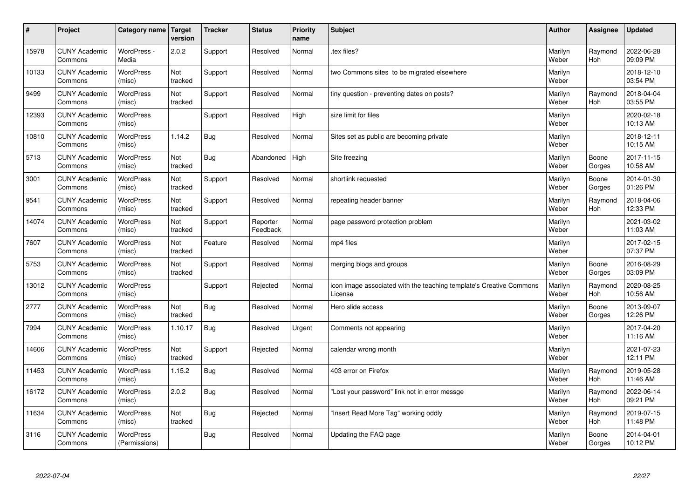| #     | Project                         | Category name   Target            | version        | <b>Tracker</b> | <b>Status</b>        | Priority<br>name | <b>Subject</b>                                                                 | <b>Author</b>    | <b>Assignee</b>       | <b>Updated</b>         |
|-------|---------------------------------|-----------------------------------|----------------|----------------|----------------------|------------------|--------------------------------------------------------------------------------|------------------|-----------------------|------------------------|
| 15978 | <b>CUNY Academic</b><br>Commons | WordPress -<br>Media              | 2.0.2          | Support        | Resolved             | Normal           | tex files?                                                                     | Marilyn<br>Weber | Raymond<br>Hoh        | 2022-06-28<br>09:09 PM |
| 10133 | <b>CUNY Academic</b><br>Commons | WordPress<br>(misc)               | Not<br>tracked | Support        | Resolved             | Normal           | two Commons sites to be migrated elsewhere                                     | Marilyn<br>Weber |                       | 2018-12-10<br>03:54 PM |
| 9499  | <b>CUNY Academic</b><br>Commons | <b>WordPress</b><br>(misc)        | Not<br>tracked | Support        | Resolved             | Normal           | tiny question - preventing dates on posts?                                     | Marilyn<br>Weber | Raymond<br><b>Hoh</b> | 2018-04-04<br>03:55 PM |
| 12393 | <b>CUNY Academic</b><br>Commons | <b>WordPress</b><br>(misc)        |                | Support        | Resolved             | High             | size limit for files                                                           | Marilyn<br>Weber |                       | 2020-02-18<br>10:13 AM |
| 10810 | <b>CUNY Academic</b><br>Commons | <b>WordPress</b><br>(misc)        | 1.14.2         | Bug            | Resolved             | Normal           | Sites set as public are becoming private                                       | Marilyn<br>Weber |                       | 2018-12-11<br>10:15 AM |
| 5713  | <b>CUNY Academic</b><br>Commons | <b>WordPress</b><br>(misc)        | Not<br>tracked | Bug            | Abandoned            | High             | Site freezing                                                                  | Marilyn<br>Weber | Boone<br>Gorges       | 2017-11-15<br>10:58 AM |
| 3001  | <b>CUNY Academic</b><br>Commons | <b>WordPress</b><br>(misc)        | Not<br>tracked | Support        | Resolved             | Normal           | shortlink requested                                                            | Marilyn<br>Weber | Boone<br>Gorges       | 2014-01-30<br>01:26 PM |
| 9541  | <b>CUNY Academic</b><br>Commons | WordPress<br>(misc)               | Not<br>tracked | Support        | Resolved             | Normal           | repeating header banner                                                        | Marilyn<br>Weber | Raymond<br><b>Hoh</b> | 2018-04-06<br>12:33 PM |
| 14074 | <b>CUNY Academic</b><br>Commons | <b>WordPress</b><br>(misc)        | Not<br>tracked | Support        | Reporter<br>Feedback | Normal           | page password protection problem                                               | Marilyn<br>Weber |                       | 2021-03-02<br>11:03 AM |
| 7607  | <b>CUNY Academic</b><br>Commons | <b>WordPress</b><br>(misc)        | Not<br>tracked | Feature        | Resolved             | Normal           | mp4 files                                                                      | Marilyn<br>Weber |                       | 2017-02-15<br>07:37 PM |
| 5753  | <b>CUNY Academic</b><br>Commons | <b>WordPress</b><br>(misc)        | Not<br>tracked | Support        | Resolved             | Normal           | merging blogs and groups                                                       | Marilyn<br>Weber | Boone<br>Gorges       | 2016-08-29<br>03:09 PM |
| 13012 | <b>CUNY Academic</b><br>Commons | <b>WordPress</b><br>(misc)        |                | Support        | Rejected             | Normal           | icon image associated with the teaching template's Creative Commons<br>License | Marilyn<br>Weber | Raymond<br>Hoh        | 2020-08-25<br>10:56 AM |
| 2777  | <b>CUNY Academic</b><br>Commons | <b>WordPress</b><br>(misc)        | Not<br>tracked | Bug            | Resolved             | Normal           | Hero slide access                                                              | Marilyn<br>Weber | Boone<br>Gorges       | 2013-09-07<br>12:26 PM |
| 7994  | <b>CUNY Academic</b><br>Commons | WordPress<br>(misc)               | 1.10.17        | Bug            | Resolved             | Urgent           | Comments not appearing                                                         | Marilyn<br>Weber |                       | 2017-04-20<br>11:16 AM |
| 14606 | <b>CUNY Academic</b><br>Commons | <b>WordPress</b><br>(misc)        | Not<br>tracked | Support        | Rejected             | Normal           | calendar wrong month                                                           | Marilyn<br>Weber |                       | 2021-07-23<br>12:11 PM |
| 11453 | <b>CUNY Academic</b><br>Commons | WordPress<br>(misc)               | 1.15.2         | Bug            | Resolved             | Normal           | 403 error on Firefox                                                           | Marilyn<br>Weber | Raymond<br>Hoh        | 2019-05-28<br>11:46 AM |
| 16172 | <b>CUNY Academic</b><br>Commons | WordPress<br>(misc)               | 2.0.2          | Bug            | Resolved             | Normal           | 'Lost your password" link not in error messge                                  | Marilyn<br>Weber | Raymond<br>Hoh        | 2022-06-14<br>09:21 PM |
| 11634 | <b>CUNY Academic</b><br>Commons | WordPress<br>(misc)               | Not<br>tracked | Bug            | Rejected             | Normal           | 'Insert Read More Tag" working oddly                                           | Marilyn<br>Weber | Raymond<br>Hoh        | 2019-07-15<br>11:48 PM |
| 3116  | <b>CUNY Academic</b><br>Commons | <b>WordPress</b><br>(Permissions) |                | Bug            | Resolved             | Normal           | Updating the FAQ page                                                          | Marilyn<br>Weber | Boone<br>Gorges       | 2014-04-01<br>10:12 PM |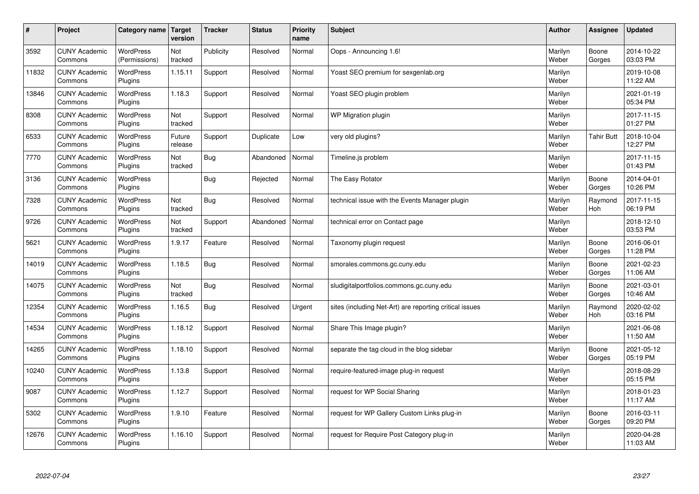| $\#$  | Project                         | Category name   Target            | version           | <b>Tracker</b> | <b>Status</b> | Priority<br>name | <b>Subject</b>                                          | <b>Author</b>    | <b>Assignee</b>       | <b>Updated</b>         |
|-------|---------------------------------|-----------------------------------|-------------------|----------------|---------------|------------------|---------------------------------------------------------|------------------|-----------------------|------------------------|
| 3592  | <b>CUNY Academic</b><br>Commons | <b>WordPress</b><br>(Permissions) | Not<br>tracked    | Publicity      | Resolved      | Normal           | Oops - Announcing 1.6!                                  | Marilyn<br>Weber | Boone<br>Gorges       | 2014-10-22<br>03:03 PM |
| 11832 | <b>CUNY Academic</b><br>Commons | <b>WordPress</b><br>Plugins       | 1.15.11           | Support        | Resolved      | Normal           | Yoast SEO premium for sexgenlab.org                     | Marilyn<br>Weber |                       | 2019-10-08<br>11:22 AM |
| 13846 | <b>CUNY Academic</b><br>Commons | <b>WordPress</b><br>Plugins       | 1.18.3            | Support        | Resolved      | Normal           | Yoast SEO plugin problem                                | Marilyn<br>Weber |                       | 2021-01-19<br>05:34 PM |
| 8308  | <b>CUNY Academic</b><br>Commons | <b>WordPress</b><br>Plugins       | Not<br>tracked    | Support        | Resolved      | Normal           | WP Migration plugin                                     | Marilyn<br>Weber |                       | 2017-11-15<br>01:27 PM |
| 6533  | <b>CUNY Academic</b><br>Commons | <b>WordPress</b><br>Plugins       | Future<br>release | Support        | Duplicate     | Low              | very old plugins?                                       | Marilyn<br>Weber | <b>Tahir Butt</b>     | 2018-10-04<br>12:27 PM |
| 7770  | <b>CUNY Academic</b><br>Commons | <b>WordPress</b><br>Plugins       | Not<br>tracked    | Bug            | Abandoned     | Normal           | Timeline.is problem                                     | Marilyn<br>Weber |                       | 2017-11-15<br>01:43 PM |
| 3136  | <b>CUNY Academic</b><br>Commons | <b>WordPress</b><br>Plugins       |                   | Bug            | Rejected      | Normal           | The Easy Rotator                                        | Marilyn<br>Weber | Boone<br>Gorges       | 2014-04-01<br>10:26 PM |
| 7328  | <b>CUNY Academic</b><br>Commons | WordPress<br><b>Plugins</b>       | Not<br>tracked    | Bug            | Resolved      | Normal           | technical issue with the Events Manager plugin          | Marilyn<br>Weber | Raymond<br><b>Hoh</b> | 2017-11-15<br>06:19 PM |
| 9726  | <b>CUNY Academic</b><br>Commons | <b>WordPress</b><br>Plugins       | Not<br>tracked    | Support        | Abandoned     | Normal           | technical error on Contact page                         | Marilyn<br>Weber |                       | 2018-12-10<br>03:53 PM |
| 5621  | <b>CUNY Academic</b><br>Commons | <b>WordPress</b><br>Plugins       | 1.9.17            | Feature        | Resolved      | Normal           | Taxonomy plugin request                                 | Marilyn<br>Weber | Boone<br>Gorges       | 2016-06-01<br>11:28 PM |
| 14019 | <b>CUNY Academic</b><br>Commons | <b>WordPress</b><br>Plugins       | 1.18.5            | Bug            | Resolved      | Normal           | smorales.commons.gc.cuny.edu                            | Marilyn<br>Weber | Boone<br>Gorges       | 2021-02-23<br>11:06 AM |
| 14075 | <b>CUNY Academic</b><br>Commons | <b>WordPress</b><br>Plugins       | Not<br>tracked    | Bug            | Resolved      | Normal           | sludigitalportfolios.commons.gc.cuny.edu                | Marilyn<br>Weber | Boone<br>Gorges       | 2021-03-01<br>10:46 AM |
| 12354 | <b>CUNY Academic</b><br>Commons | <b>WordPress</b><br>Plugins       | 1.16.5            | <b>Bug</b>     | Resolved      | Urgent           | sites (including Net-Art) are reporting critical issues | Marilyn<br>Weber | Raymond<br>Hoh        | 2020-02-02<br>03:16 PM |
| 14534 | <b>CUNY Academic</b><br>Commons | WordPress<br>Plugins              | 1.18.12           | Support        | Resolved      | Normal           | Share This Image plugin?                                | Marilyn<br>Weber |                       | 2021-06-08<br>11:50 AM |
| 14265 | <b>CUNY Academic</b><br>Commons | <b>WordPress</b><br>Plugins       | 1.18.10           | Support        | Resolved      | Normal           | separate the tag cloud in the blog sidebar              | Marilyn<br>Weber | Boone<br>Gorges       | 2021-05-12<br>05:19 PM |
| 10240 | <b>CUNY Academic</b><br>Commons | WordPress<br>Plugins              | 1.13.8            | Support        | Resolved      | Normal           | require-featured-image plug-in request                  | Marilyn<br>Weber |                       | 2018-08-29<br>05:15 PM |
| 9087  | <b>CUNY Academic</b><br>Commons | WordPress<br>Plugins              | 1.12.7            | Support        | Resolved      | Normal           | request for WP Social Sharing                           | Marilyn<br>Weber |                       | 2018-01-23<br>11:17 AM |
| 5302  | <b>CUNY Academic</b><br>Commons | WordPress<br>Plugins              | 1.9.10            | Feature        | Resolved      | Normal           | request for WP Gallery Custom Links plug-in             | Marilyn<br>Weber | Boone<br>Gorges       | 2016-03-11<br>09:20 PM |
| 12676 | <b>CUNY Academic</b><br>Commons | WordPress<br>Plugins              | 1.16.10           | Support        | Resolved      | Normal           | request for Require Post Category plug-in               | Marilyn<br>Weber |                       | 2020-04-28<br>11:03 AM |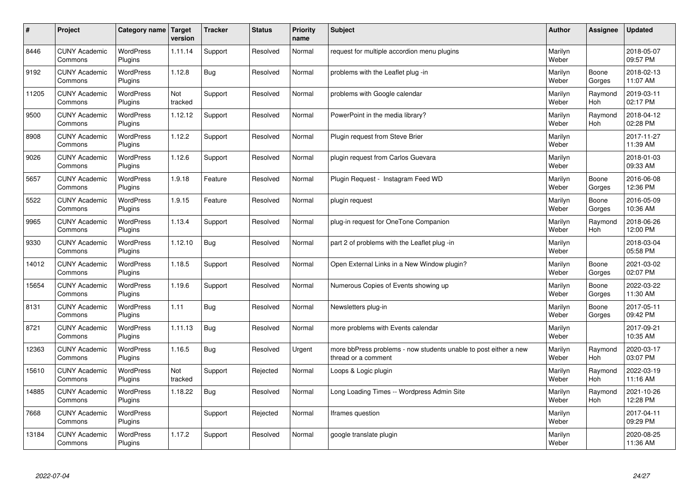| #     | Project                         | Category name               | Target<br>version | <b>Tracker</b> | <b>Status</b> | <b>Priority</b><br>name | <b>Subject</b>                                                                          | <b>Author</b>    | Assignee              | <b>Updated</b>         |
|-------|---------------------------------|-----------------------------|-------------------|----------------|---------------|-------------------------|-----------------------------------------------------------------------------------------|------------------|-----------------------|------------------------|
| 8446  | <b>CUNY Academic</b><br>Commons | <b>WordPress</b><br>Plugins | 1.11.14           | Support        | Resolved      | Normal                  | request for multiple accordion menu plugins                                             | Marilyn<br>Weber |                       | 2018-05-07<br>09:57 PM |
| 9192  | <b>CUNY Academic</b><br>Commons | <b>WordPress</b><br>Plugins | 1.12.8            | Bug            | Resolved      | Normal                  | problems with the Leaflet plug -in                                                      | Marilyn<br>Weber | Boone<br>Gorges       | 2018-02-13<br>11:07 AM |
| 11205 | <b>CUNY Academic</b><br>Commons | <b>WordPress</b><br>Plugins | Not<br>tracked    | Support        | Resolved      | Normal                  | problems with Google calendar                                                           | Marilyn<br>Weber | Raymond<br><b>Hoh</b> | 2019-03-11<br>02:17 PM |
| 9500  | <b>CUNY Academic</b><br>Commons | <b>WordPress</b><br>Plugins | 1.12.12           | Support        | Resolved      | Normal                  | PowerPoint in the media library?                                                        | Marilyn<br>Weber | Raymond<br><b>Hoh</b> | 2018-04-12<br>02:28 PM |
| 8908  | <b>CUNY Academic</b><br>Commons | <b>WordPress</b><br>Plugins | 1.12.2            | Support        | Resolved      | Normal                  | Plugin request from Steve Brier                                                         | Marilyn<br>Weber |                       | 2017-11-27<br>11:39 AM |
| 9026  | <b>CUNY Academic</b><br>Commons | WordPress<br>Plugins        | 1.12.6            | Support        | Resolved      | Normal                  | plugin request from Carlos Guevara                                                      | Marilyn<br>Weber |                       | 2018-01-03<br>09:33 AM |
| 5657  | <b>CUNY Academic</b><br>Commons | <b>WordPress</b><br>Plugins | 1.9.18            | Feature        | Resolved      | Normal                  | Plugin Request - Instagram Feed WD                                                      | Marilyn<br>Weber | Boone<br>Gorges       | 2016-06-08<br>12:36 PM |
| 5522  | <b>CUNY Academic</b><br>Commons | <b>WordPress</b><br>Plugins | 1.9.15            | Feature        | Resolved      | Normal                  | plugin request                                                                          | Marilyn<br>Weber | Boone<br>Gorges       | 2016-05-09<br>10:36 AM |
| 9965  | <b>CUNY Academic</b><br>Commons | <b>WordPress</b><br>Plugins | 1.13.4            | Support        | Resolved      | Normal                  | plug-in request for OneTone Companion                                                   | Marilyn<br>Weber | Raymond<br><b>Hoh</b> | 2018-06-26<br>12:00 PM |
| 9330  | <b>CUNY Academic</b><br>Commons | WordPress<br>Plugins        | 1.12.10           | Bug            | Resolved      | Normal                  | part 2 of problems with the Leaflet plug -in                                            | Marilyn<br>Weber |                       | 2018-03-04<br>05:58 PM |
| 14012 | <b>CUNY Academic</b><br>Commons | WordPress<br>Plugins        | 1.18.5            | Support        | Resolved      | Normal                  | Open External Links in a New Window plugin?                                             | Marilyn<br>Weber | Boone<br>Gorges       | 2021-03-02<br>02:07 PM |
| 15654 | <b>CUNY Academic</b><br>Commons | <b>WordPress</b><br>Plugins | 1.19.6            | Support        | Resolved      | Normal                  | Numerous Copies of Events showing up                                                    | Marilyn<br>Weber | Boone<br>Gorges       | 2022-03-22<br>11:30 AM |
| 8131  | <b>CUNY Academic</b><br>Commons | <b>WordPress</b><br>Plugins | 1.11              | Bug            | Resolved      | Normal                  | Newsletters plug-in                                                                     | Marilyn<br>Weber | Boone<br>Gorges       | 2017-05-11<br>09:42 PM |
| 8721  | <b>CUNY Academic</b><br>Commons | WordPress<br>Plugins        | 1.11.13           | Bug            | Resolved      | Normal                  | more problems with Events calendar                                                      | Marilyn<br>Weber |                       | 2017-09-21<br>10:35 AM |
| 12363 | <b>CUNY Academic</b><br>Commons | <b>WordPress</b><br>Plugins | 1.16.5            | Bug            | Resolved      | Urgent                  | more bbPress problems - now students unable to post either a new<br>thread or a comment | Marilyn<br>Weber | Raymond<br><b>Hoh</b> | 2020-03-17<br>03:07 PM |
| 15610 | <b>CUNY Academic</b><br>Commons | <b>WordPress</b><br>Plugins | Not<br>tracked    | Support        | Rejected      | Normal                  | Loops & Logic plugin                                                                    | Marilyn<br>Weber | Raymond<br>Hoh        | 2022-03-19<br>11:16 AM |
| 14885 | <b>CUNY Academic</b><br>Commons | WordPress<br>Plugins        | 1.18.22           | Bug            | Resolved      | Normal                  | Long Loading Times -- Wordpress Admin Site                                              | Marilyn<br>Weber | Raymond<br>Hoh        | 2021-10-26<br>12:28 PM |
| 7668  | <b>CUNY Academic</b><br>Commons | WordPress<br>Plugins        |                   | Support        | Rejected      | Normal                  | Iframes question                                                                        | Marilyn<br>Weber |                       | 2017-04-11<br>09:29 PM |
| 13184 | <b>CUNY Academic</b><br>Commons | WordPress<br>Plugins        | 1.17.2            | Support        | Resolved      | Normal                  | google translate plugin                                                                 | Marilyn<br>Weber |                       | 2020-08-25<br>11:36 AM |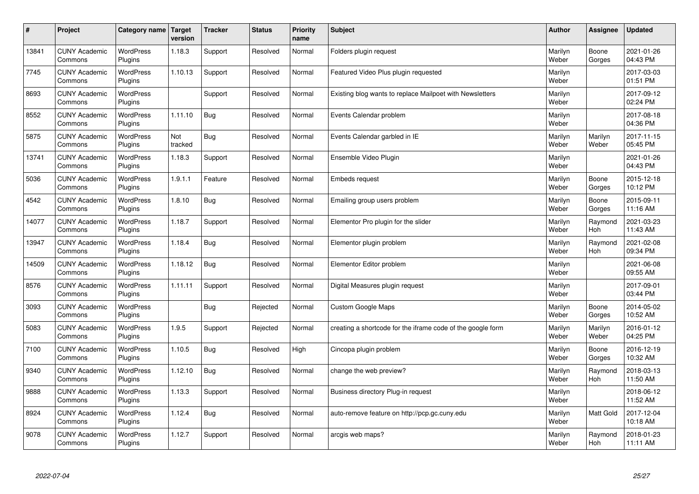| #     | Project                         | Category name               | Target<br>version | <b>Tracker</b> | <b>Status</b> | Priority<br>name | <b>Subject</b>                                              | <b>Author</b>    | <b>Assignee</b>       | <b>Updated</b>         |
|-------|---------------------------------|-----------------------------|-------------------|----------------|---------------|------------------|-------------------------------------------------------------|------------------|-----------------------|------------------------|
| 13841 | <b>CUNY Academic</b><br>Commons | <b>WordPress</b><br>Plugins | 1.18.3            | Support        | Resolved      | Normal           | Folders plugin request                                      | Marilyn<br>Weber | Boone<br>Gorges       | 2021-01-26<br>04:43 PM |
| 7745  | <b>CUNY Academic</b><br>Commons | <b>WordPress</b><br>Plugins | 1.10.13           | Support        | Resolved      | Normal           | Featured Video Plus plugin requested                        | Marilyn<br>Weber |                       | 2017-03-03<br>01:51 PM |
| 8693  | <b>CUNY Academic</b><br>Commons | <b>WordPress</b><br>Plugins |                   | Support        | Resolved      | Normal           | Existing blog wants to replace Mailpoet with Newsletters    | Marilyn<br>Weber |                       | 2017-09-12<br>02:24 PM |
| 8552  | <b>CUNY Academic</b><br>Commons | <b>WordPress</b><br>Plugins | 1.11.10           | Bug            | Resolved      | Normal           | Events Calendar problem                                     | Marilyn<br>Weber |                       | 2017-08-18<br>04:36 PM |
| 5875  | <b>CUNY Academic</b><br>Commons | <b>WordPress</b><br>Plugins | Not<br>tracked    | Bug            | Resolved      | Normal           | Events Calendar garbled in IE                               | Marilyn<br>Weber | Marilyn<br>Weber      | 2017-11-15<br>05:45 PM |
| 13741 | <b>CUNY Academic</b><br>Commons | <b>WordPress</b><br>Plugins | 1.18.3            | Support        | Resolved      | Normal           | Ensemble Video Plugin                                       | Marilyn<br>Weber |                       | 2021-01-26<br>04:43 PM |
| 5036  | <b>CUNY Academic</b><br>Commons | <b>WordPress</b><br>Plugins | 1.9.1.1           | Feature        | Resolved      | Normal           | <b>Embeds request</b>                                       | Marilyn<br>Weber | Boone<br>Gorges       | 2015-12-18<br>10:12 PM |
| 4542  | <b>CUNY Academic</b><br>Commons | WordPress<br><b>Plugins</b> | 1.8.10            | Bug            | Resolved      | Normal           | Emailing group users problem                                | Marilyn<br>Weber | Boone<br>Gorges       | 2015-09-11<br>11:16 AM |
| 14077 | <b>CUNY Academic</b><br>Commons | <b>WordPress</b><br>Plugins | 1.18.7            | Support        | Resolved      | Normal           | Elementor Pro plugin for the slider                         | Marilyn<br>Weber | Raymond<br>Hoh        | 2021-03-23<br>11:43 AM |
| 13947 | <b>CUNY Academic</b><br>Commons | <b>WordPress</b><br>Plugins | 1.18.4            | Bug            | Resolved      | Normal           | Elementor plugin problem                                    | Marilyn<br>Weber | Raymond<br>Hoh        | 2021-02-08<br>09:34 PM |
| 14509 | <b>CUNY Academic</b><br>Commons | <b>WordPress</b><br>Plugins | 1.18.12           | Bug            | Resolved      | Normal           | Elementor Editor problem                                    | Marilyn<br>Weber |                       | 2021-06-08<br>09:55 AM |
| 8576  | <b>CUNY Academic</b><br>Commons | <b>WordPress</b><br>Plugins | 1.11.11           | Support        | Resolved      | Normal           | Digital Measures plugin request                             | Marilyn<br>Weber |                       | 2017-09-01<br>03:44 PM |
| 3093  | <b>CUNY Academic</b><br>Commons | <b>WordPress</b><br>Plugins |                   | Bug            | Rejected      | Normal           | <b>Custom Google Maps</b>                                   | Marilyn<br>Weber | Boone<br>Gorges       | 2014-05-02<br>10:52 AM |
| 5083  | <b>CUNY Academic</b><br>Commons | WordPress<br>Plugins        | 1.9.5             | Support        | Rejected      | Normal           | creating a shortcode for the iframe code of the google form | Marilyn<br>Weber | Marilyn<br>Weber      | 2016-01-12<br>04:25 PM |
| 7100  | <b>CUNY Academic</b><br>Commons | <b>WordPress</b><br>Plugins | 1.10.5            | Bug            | Resolved      | High             | Cincopa plugin problem                                      | Marilyn<br>Weber | Boone<br>Gorges       | 2016-12-19<br>10:32 AM |
| 9340  | <b>CUNY Academic</b><br>Commons | WordPress<br>Plugins        | 1.12.10           | Bug            | Resolved      | Normal           | change the web preview?                                     | Marilyn<br>Weber | Raymond<br><b>Hoh</b> | 2018-03-13<br>11:50 AM |
| 9888  | <b>CUNY Academic</b><br>Commons | WordPress<br>Plugins        | 1.13.3            | Support        | Resolved      | Normal           | Business directory Plug-in request                          | Marilyn<br>Weber |                       | 2018-06-12<br>11:52 AM |
| 8924  | <b>CUNY Academic</b><br>Commons | WordPress<br>Plugins        | 1.12.4            | Bug            | Resolved      | Normal           | auto-remove feature on http://pcp.gc.cuny.edu               | Marilyn<br>Weber | Matt Gold             | 2017-12-04<br>10:18 AM |
| 9078  | <b>CUNY Academic</b><br>Commons | WordPress<br>Plugins        | 1.12.7            | Support        | Resolved      | Normal           | arcgis web maps?                                            | Marilyn<br>Weber | Raymond<br>Hoh        | 2018-01-23<br>11:11 AM |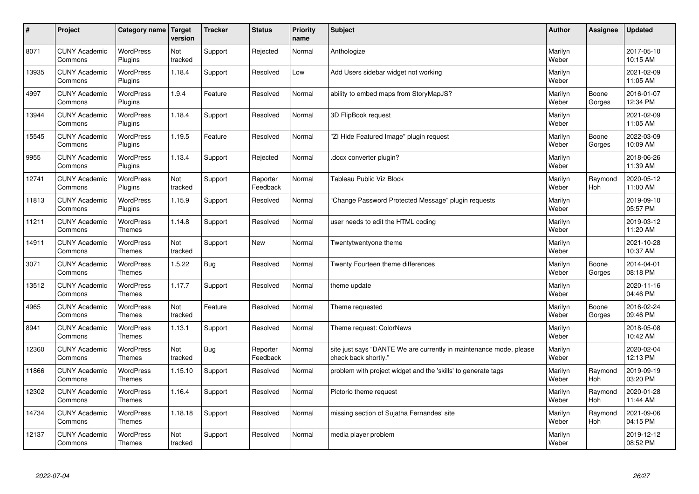| $\sharp$ | Project                         | Category name   Target            | version        | <b>Tracker</b> | <b>Status</b>        | <b>Priority</b><br>name | <b>Subject</b>                                                                             | <b>Author</b>    | Assignee              | <b>Updated</b>         |
|----------|---------------------------------|-----------------------------------|----------------|----------------|----------------------|-------------------------|--------------------------------------------------------------------------------------------|------------------|-----------------------|------------------------|
| 8071     | <b>CUNY Academic</b><br>Commons | <b>WordPress</b><br>Plugins       | Not<br>tracked | Support        | Rejected             | Normal                  | Anthologize                                                                                | Marilyn<br>Weber |                       | 2017-05-10<br>10:15 AM |
| 13935    | <b>CUNY Academic</b><br>Commons | <b>WordPress</b><br>Plugins       | 1.18.4         | Support        | Resolved             | Low                     | Add Users sidebar widget not working                                                       | Marilyn<br>Weber |                       | 2021-02-09<br>11:05 AM |
| 4997     | <b>CUNY Academic</b><br>Commons | <b>WordPress</b><br>Plugins       | 1.9.4          | Feature        | Resolved             | Normal                  | ability to embed maps from StoryMapJS?                                                     | Marilyn<br>Weber | Boone<br>Gorges       | 2016-01-07<br>12:34 PM |
| 13944    | <b>CUNY Academic</b><br>Commons | <b>WordPress</b><br>Plugins       | 1.18.4         | Support        | Resolved             | Normal                  | 3D FlipBook request                                                                        | Marilyn<br>Weber |                       | 2021-02-09<br>11:05 AM |
| 15545    | <b>CUNY Academic</b><br>Commons | <b>WordPress</b><br>Plugins       | 1.19.5         | Feature        | Resolved             | Normal                  | 'ZI Hide Featured Image" plugin request                                                    | Marilyn<br>Weber | Boone<br>Gorges       | 2022-03-09<br>10:09 AM |
| 9955     | <b>CUNY Academic</b><br>Commons | <b>WordPress</b><br>Plugins       | 1.13.4         | Support        | Rejected             | Normal                  | docx converter plugin?                                                                     | Marilyn<br>Weber |                       | 2018-06-26<br>11:39 AM |
| 12741    | <b>CUNY Academic</b><br>Commons | <b>WordPress</b><br>Plugins       | Not<br>tracked | Support        | Reporter<br>Feedback | Normal                  | <b>Tableau Public Viz Block</b>                                                            | Marilyn<br>Weber | Raymond<br>Hoh        | 2020-05-12<br>11:00 AM |
| 11813    | <b>CUNY Academic</b><br>Commons | WordPress<br>Plugins              | 1.15.9         | Support        | Resolved             | Normal                  | 'Change Password Protected Message" plugin requests                                        | Marilyn<br>Weber |                       | 2019-09-10<br>05:57 PM |
| 11211    | <b>CUNY Academic</b><br>Commons | WordPress<br><b>Themes</b>        | 1.14.8         | Support        | Resolved             | Normal                  | user needs to edit the HTML coding                                                         | Marilyn<br>Weber |                       | 2019-03-12<br>11:20 AM |
| 14911    | <b>CUNY Academic</b><br>Commons | <b>WordPress</b><br>Themes        | Not<br>tracked | Support        | New                  | Normal                  | Twentytwentyone theme                                                                      | Marilyn<br>Weber |                       | 2021-10-28<br>10:37 AM |
| 3071     | <b>CUNY Academic</b><br>Commons | <b>WordPress</b><br><b>Themes</b> | 1.5.22         | Bug            | Resolved             | Normal                  | Twenty Fourteen theme differences                                                          | Marilyn<br>Weber | Boone<br>Gorges       | 2014-04-01<br>08:18 PM |
| 13512    | <b>CUNY Academic</b><br>Commons | WordPress<br><b>Themes</b>        | 1.17.7         | Support        | Resolved             | Normal                  | theme update                                                                               | Marilyn<br>Weber |                       | 2020-11-16<br>04:46 PM |
| 4965     | <b>CUNY Academic</b><br>Commons | <b>WordPress</b><br><b>Themes</b> | Not<br>tracked | Feature        | Resolved             | Normal                  | Theme requested                                                                            | Marilyn<br>Weber | Boone<br>Gorges       | 2016-02-24<br>09:46 PM |
| 8941     | <b>CUNY Academic</b><br>Commons | WordPress<br><b>Themes</b>        | 1.13.1         | Support        | Resolved             | Normal                  | Theme request: ColorNews                                                                   | Marilyn<br>Weber |                       | 2018-05-08<br>10:42 AM |
| 12360    | <b>CUNY Academic</b><br>Commons | WordPress<br><b>Themes</b>        | Not<br>tracked | Bug            | Reporter<br>Feedback | Normal                  | site just says "DANTE We are currently in maintenance mode, please<br>check back shortly." | Marilyn<br>Weber |                       | 2020-02-04<br>12:13 PM |
| 11866    | <b>CUNY Academic</b><br>Commons | <b>WordPress</b><br><b>Themes</b> | 1.15.10        | Support        | Resolved             | Normal                  | problem with project widget and the 'skills' to generate tags                              | Marilyn<br>Weber | Raymond<br>Hoh        | 2019-09-19<br>03:20 PM |
| 12302    | <b>CUNY Academic</b><br>Commons | WordPress<br>Themes               | 1.16.4         | Support        | Resolved             | Normal                  | Pictorio theme request                                                                     | Marilyn<br>Weber | Raymond<br><b>Hoh</b> | 2020-01-28<br>11:44 AM |
| 14734    | <b>CUNY Academic</b><br>Commons | <b>WordPress</b><br><b>Themes</b> | 1.18.18        | Support        | Resolved             | Normal                  | missing section of Sujatha Fernandes' site                                                 | Marilyn<br>Weber | Raymond<br><b>Hoh</b> | 2021-09-06<br>04:15 PM |
| 12137    | <b>CUNY Academic</b><br>Commons | <b>WordPress</b><br><b>Themes</b> | Not<br>tracked | Support        | Resolved             | Normal                  | media player problem                                                                       | Marilyn<br>Weber |                       | 2019-12-12<br>08:52 PM |